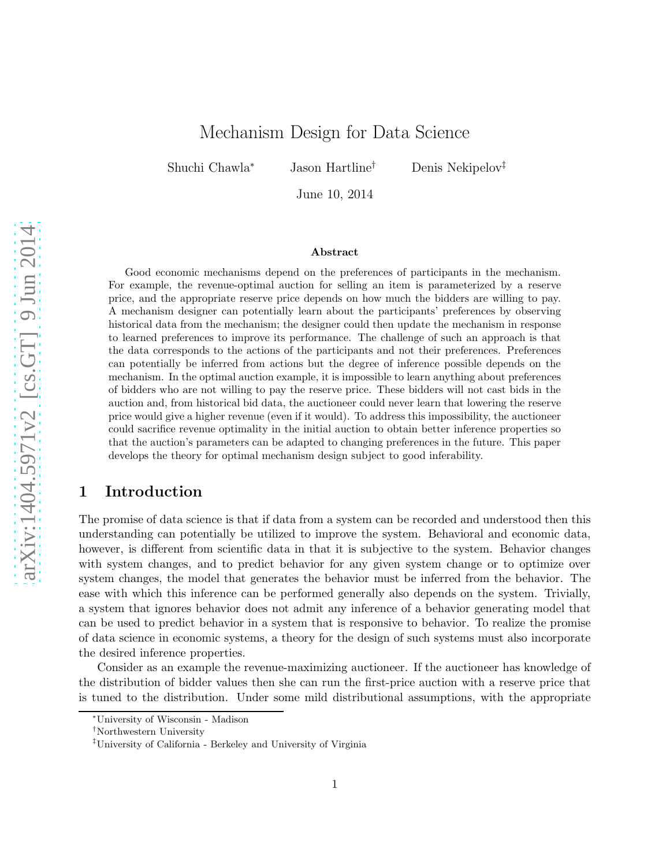# Mechanism Design for Data Science

Shuchi Chawla<sup>∗</sup> Jason Hartline† Denis Nekipelov‡

June 10, 2014

#### Abstract

Good economic mechanisms depend on the preferences of participants in the mechanism. For example, the revenue-optimal auction for selling an item is parameterized by a reserve price, and the appropriate reserve price depends on how much the bidders are willing to pay. A mechanism designer can potentially learn about the participants' preferences by observing historical data from the mechanism; the designer could then update the mechanism in response to learned preferences to improve its performance. The challenge of such an approach is that the data corresponds to the actions of the participants and not their preferences. Preferences can potentially be inferred from actions but the degree of inference possible depends on the mechanism. In the optimal auction example, it is impossible to learn anything about preferences of bidders who are not willing to pay the reserve price. These bidders will not cast bids in the auction and, from historical bid data, the auctioneer could never learn that lowering the reserve price would give a higher revenue (even if it would). To address this impossibility, the auctioneer could sacrifice revenue optimality in the initial auction to obtain better inference properties so that the auction's parameters can be adapted to changing preferences in the future. This paper develops the theory for optimal mechanism design subject to good inferability.

### 1 Introduction

The promise of data science is that if data from a system can be recorded and understood then this understanding can potentially be utilized to improve the system. Behavioral and economic data, however, is different from scientific data in that it is subjective to the system. Behavior changes with system changes, and to predict behavior for any given system change or to optimize over system changes, the model that generates the behavior must be inferred from the behavior. The ease with which this inference can be performed generally also depends on the system. Trivially, a system that ignores behavior does not admit any inference of a behavior generating model that can be used to predict behavior in a system that is responsive to behavior. To realize the promise of data science in economic systems, a theory for the design of such systems must also incorporate the desired inference properties.

Consider as an example the revenue-maximizing auctioneer. If the auctioneer has knowledge of the distribution of bidder values then she can run the first-price auction with a reserve price that is tuned to the distribution. Under some mild distributional assumptions, with the appropriate

<sup>∗</sup>University of Wisconsin - Madison

<sup>†</sup>Northwestern University

<sup>‡</sup>University of California - Berkeley and University of Virginia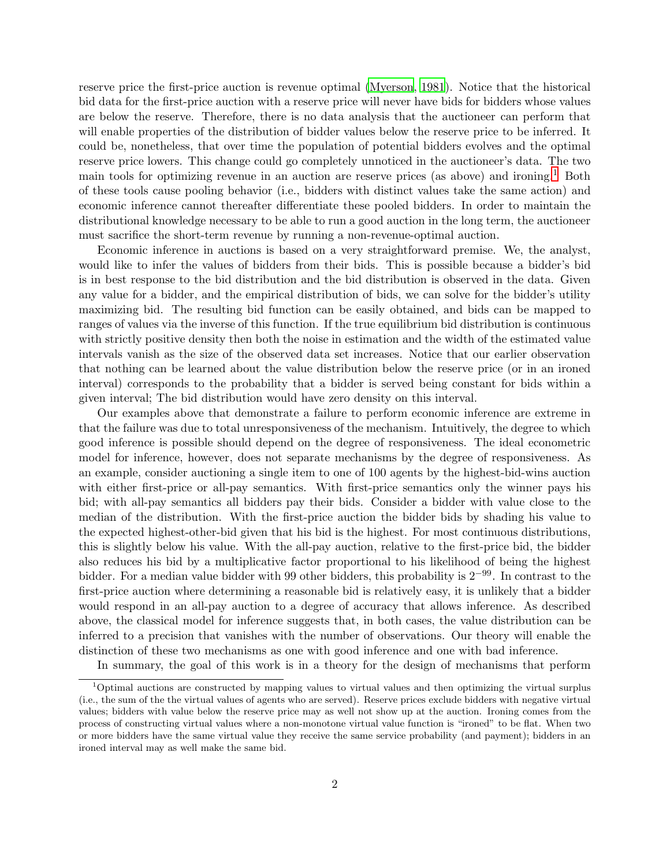reserve price the first-price auction is revenue optimal [\(Myerson](#page-20-0), [1981\)](#page-20-0). Notice that the historical bid data for the first-price auction with a reserve price will never have bids for bidders whose values are below the reserve. Therefore, there is no data analysis that the auctioneer can perform that will enable properties of the distribution of bidder values below the reserve price to be inferred. It could be, nonetheless, that over time the population of potential bidders evolves and the optimal reserve price lowers. This change could go completely unnoticed in the auctioneer's data. The two main tools for optimizing revenue in an auction are reserve prices (as above) and ironing.[1](#page-1-0) Both of these tools cause pooling behavior (i.e., bidders with distinct values take the same action) and economic inference cannot thereafter differentiate these pooled bidders. In order to maintain the distributional knowledge necessary to be able to run a good auction in the long term, the auctioneer must sacrifice the short-term revenue by running a non-revenue-optimal auction.

Economic inference in auctions is based on a very straightforward premise. We, the analyst, would like to infer the values of bidders from their bids. This is possible because a bidder's bid is in best response to the bid distribution and the bid distribution is observed in the data. Given any value for a bidder, and the empirical distribution of bids, we can solve for the bidder's utility maximizing bid. The resulting bid function can be easily obtained, and bids can be mapped to ranges of values via the inverse of this function. If the true equilibrium bid distribution is continuous with strictly positive density then both the noise in estimation and the width of the estimated value intervals vanish as the size of the observed data set increases. Notice that our earlier observation that nothing can be learned about the value distribution below the reserve price (or in an ironed interval) corresponds to the probability that a bidder is served being constant for bids within a given interval; The bid distribution would have zero density on this interval.

Our examples above that demonstrate a failure to perform economic inference are extreme in that the failure was due to total unresponsiveness of the mechanism. Intuitively, the degree to which good inference is possible should depend on the degree of responsiveness. The ideal econometric model for inference, however, does not separate mechanisms by the degree of responsiveness. As an example, consider auctioning a single item to one of 100 agents by the highest-bid-wins auction with either first-price or all-pay semantics. With first-price semantics only the winner pays his bid; with all-pay semantics all bidders pay their bids. Consider a bidder with value close to the median of the distribution. With the first-price auction the bidder bids by shading his value to the expected highest-other-bid given that his bid is the highest. For most continuous distributions, this is slightly below his value. With the all-pay auction, relative to the first-price bid, the bidder also reduces his bid by a multiplicative factor proportional to his likelihood of being the highest bidder. For a median value bidder with 99 other bidders, this probability is 2−99. In contrast to the first-price auction where determining a reasonable bid is relatively easy, it is unlikely that a bidder would respond in an all-pay auction to a degree of accuracy that allows inference. As described above, the classical model for inference suggests that, in both cases, the value distribution can be inferred to a precision that vanishes with the number of observations. Our theory will enable the distinction of these two mechanisms as one with good inference and one with bad inference.

In summary, the goal of this work is in a theory for the design of mechanisms that perform

<span id="page-1-0"></span><sup>1</sup>Optimal auctions are constructed by mapping values to virtual values and then optimizing the virtual surplus (i.e., the sum of the the virtual values of agents who are served). Reserve prices exclude bidders with negative virtual values; bidders with value below the reserve price may as well not show up at the auction. Ironing comes from the process of constructing virtual values where a non-monotone virtual value function is "ironed" to be flat. When two or more bidders have the same virtual value they receive the same service probability (and payment); bidders in an ironed interval may as well make the same bid.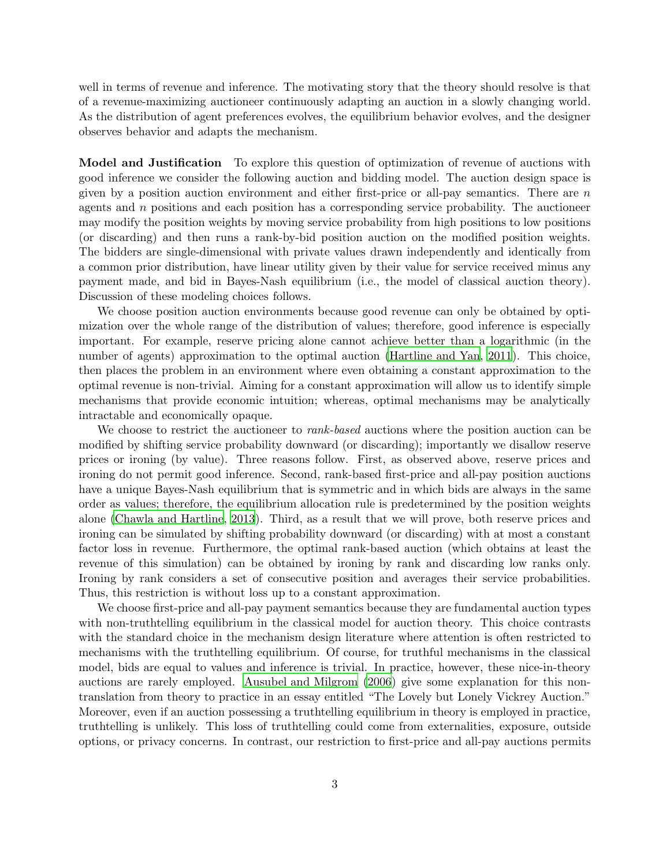well in terms of revenue and inference. The motivating story that the theory should resolve is that of a revenue-maximizing auctioneer continuously adapting an auction in a slowly changing world. As the distribution of agent preferences evolves, the equilibrium behavior evolves, and the designer observes behavior and adapts the mechanism.

Model and Justification To explore this question of optimization of revenue of auctions with good inference we consider the following auction and bidding model. The auction design space is given by a position auction environment and either first-price or all-pay semantics. There are  $n$ agents and  $n$  positions and each position has a corresponding service probability. The auctioneer may modify the position weights by moving service probability from high positions to low positions (or discarding) and then runs a rank-by-bid position auction on the modified position weights. The bidders are single-dimensional with private values drawn independently and identically from a common prior distribution, have linear utility given by their value for service received minus any payment made, and bid in Bayes-Nash equilibrium (i.e., the model of classical auction theory). Discussion of these modeling choices follows.

We choose position auction environments because good revenue can only be obtained by optimization over the whole range of the distribution of values; therefore, good inference is especially important. For example, reserve pricing alone cannot achieve better than a logarithmic (in the number of agents) approximation to the optimal auction [\(Hartline and Yan, 2011](#page-20-1)). This choice, then places the problem in an environment where even obtaining a constant approximation to the optimal revenue is non-trivial. Aiming for a constant approximation will allow us to identify simple mechanisms that provide economic intuition; whereas, optimal mechanisms may be analytically intractable and economically opaque.

We choose to restrict the auctioneer to *rank-based* auctions where the position auction can be modified by shifting service probability downward (or discarding); importantly we disallow reserve prices or ironing (by value). Three reasons follow. First, as observed above, reserve prices and ironing do not permit good inference. Second, rank-based first-price and all-pay position auctions have a unique Bayes-Nash equilibrium that is symmetric and in which bids are always in the same order as values; therefore, the equilibrium allocation rule is predetermined by the position weights alone [\(Chawla and Hartline](#page-20-2), [2013](#page-20-2)). Third, as a result that we will prove, both reserve prices and ironing can be simulated by shifting probability downward (or discarding) with at most a constant factor loss in revenue. Furthermore, the optimal rank-based auction (which obtains at least the revenue of this simulation) can be obtained by ironing by rank and discarding low ranks only. Ironing by rank considers a set of consecutive position and averages their service probabilities. Thus, this restriction is without loss up to a constant approximation.

We choose first-price and all-pay payment semantics because they are fundamental auction types with non-truthtelling equilibrium in the classical model for auction theory. This choice contrasts with the standard choice in the mechanism design literature where attention is often restricted to mechanisms with the truthtelling equilibrium. Of course, for truthful mechanisms in the classical model, bids are equal to values and inference is trivial. In practice, however, these nice-in-theory auctions are rarely employed. [Ausubel and Milgrom \(2006\)](#page-19-0) give some explanation for this nontranslation from theory to practice in an essay entitled "The Lovely but Lonely Vickrey Auction." Moreover, even if an auction possessing a truthtelling equilibrium in theory is employed in practice, truthtelling is unlikely. This loss of truthtelling could come from externalities, exposure, outside options, or privacy concerns. In contrast, our restriction to first-price and all-pay auctions permits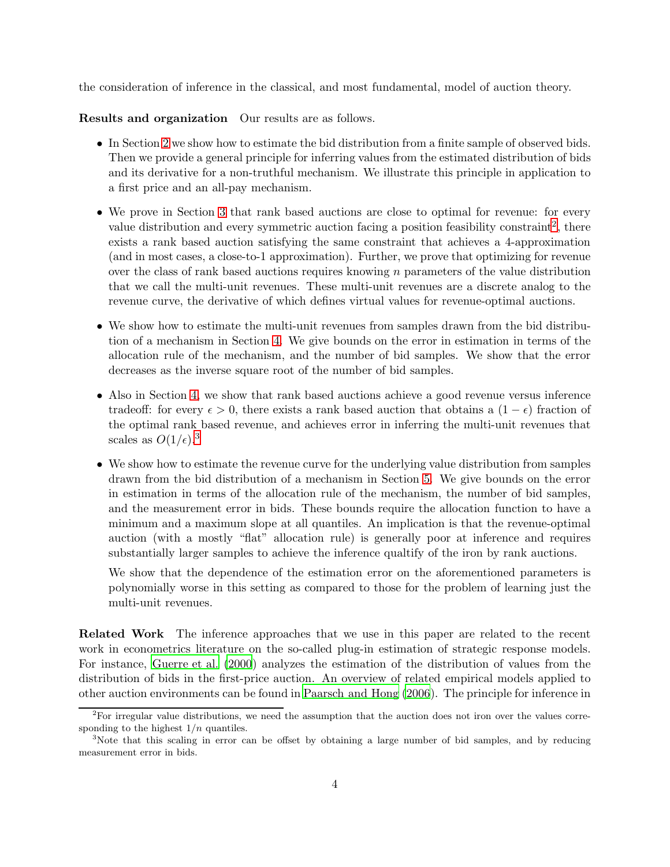the consideration of inference in the classical, and most fundamental, model of auction theory.

Results and organization Our results are as follows.

- In Section [2](#page-4-0) we show how to estimate the bid distribution from a finite sample of observed bids. Then we provide a general principle for inferring values from the estimated distribution of bids and its derivative for a non-truthful mechanism. We illustrate this principle in application to a first price and an all-pay mechanism.
- We prove in Section [3](#page-8-0) that rank based auctions are close to optimal for revenue: for every value distribution and every symmetric auction facing a position feasibility constraint<sup>[2](#page-3-0)</sup>, there exists a rank based auction satisfying the same constraint that achieves a 4-approximation (and in most cases, a close-to-1 approximation). Further, we prove that optimizing for revenue over the class of rank based auctions requires knowing  $n$  parameters of the value distribution that we call the multi-unit revenues. These multi-unit revenues are a discrete analog to the revenue curve, the derivative of which defines virtual values for revenue-optimal auctions.
- We show how to estimate the multi-unit revenues from samples drawn from the bid distribution of a mechanism in Section [4.](#page-13-0) We give bounds on the error in estimation in terms of the allocation rule of the mechanism, and the number of bid samples. We show that the error decreases as the inverse square root of the number of bid samples.
- Also in Section [4,](#page-13-0) we show that rank based auctions achieve a good revenue versus inference tradeoff: for every  $\epsilon > 0$ , there exists a rank based auction that obtains a  $(1 - \epsilon)$  fraction of the optimal rank based revenue, and achieves error in inferring the multi-unit revenues that scales as  $O(1/\epsilon)^3$  $O(1/\epsilon)^3$ .
- We show how to estimate the revenue curve for the underlying value distribution from samples drawn from the bid distribution of a mechanism in Section [5.](#page-16-0) We give bounds on the error in estimation in terms of the allocation rule of the mechanism, the number of bid samples, and the measurement error in bids. These bounds require the allocation function to have a minimum and a maximum slope at all quantiles. An implication is that the revenue-optimal auction (with a mostly "flat" allocation rule) is generally poor at inference and requires substantially larger samples to achieve the inference qualtify of the iron by rank auctions.

We show that the dependence of the estimation error on the aforementioned parameters is polynomially worse in this setting as compared to those for the problem of learning just the multi-unit revenues.

Related Work The inference approaches that we use in this paper are related to the recent work in econometrics literature on the so-called plug-in estimation of strategic response models. For instance, [Guerre et al. \(2000](#page-20-3)) analyzes the estimation of the distribution of values from the distribution of bids in the first-price auction. An overview of related empirical models applied to other auction environments can be found in [Paarsch and Hong \(2006](#page-21-0)). The principle for inference in

<span id="page-3-0"></span> $2$ For irregular value distributions, we need the assumption that the auction does not iron over the values corresponding to the highest  $1/n$  quantiles.

<span id="page-3-1"></span><sup>&</sup>lt;sup>3</sup>Note that this scaling in error can be offset by obtaining a large number of bid samples, and by reducing measurement error in bids.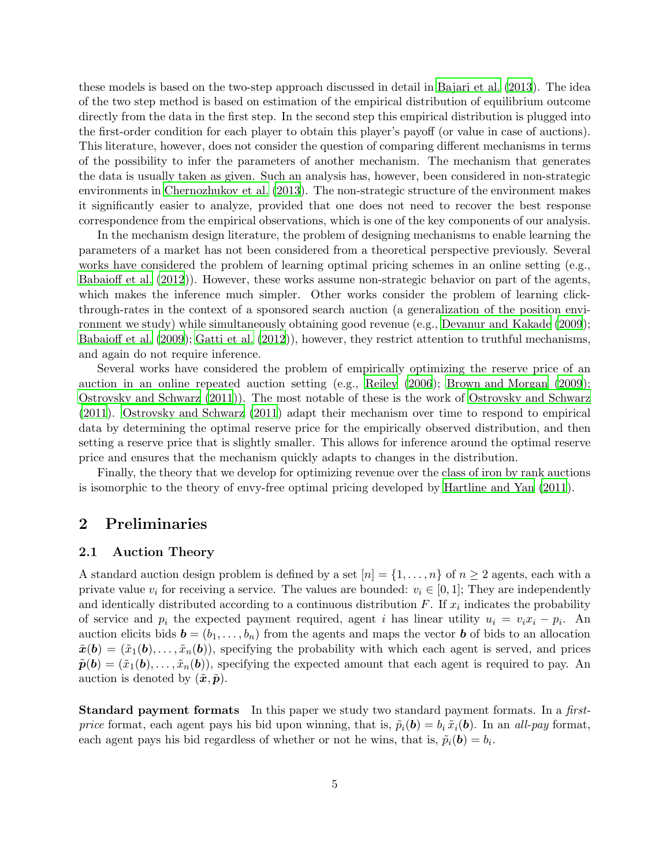these models is based on the two-step approach discussed in detail in [Bajari et al. \(2013](#page-20-4)). The idea of the two step method is based on estimation of the empirical distribution of equilibrium outcome directly from the data in the first step. In the second step this empirical distribution is plugged into the first-order condition for each player to obtain this player's payoff (or value in case of auctions). This literature, however, does not consider the question of comparing different mechanisms in terms of the possibility to infer the parameters of another mechanism. The mechanism that generates the data is usually taken as given. Such an analysis has, however, been considered in non-strategic environments in [Chernozhukov et al. \(2013](#page-20-5)). The non-strategic structure of the environment makes it significantly easier to analyze, provided that one does not need to recover the best response correspondence from the empirical observations, which is one of the key components of our analysis.

In the mechanism design literature, the problem of designing mechanisms to enable learning the parameters of a market has not been considered from a theoretical perspective previously. Several works have considered the problem of learning optimal pricing schemes in an online setting (e.g., [Babaioff et al. \(2012\)](#page-20-6)). However, these works assume non-strategic behavior on part of the agents, which makes the inference much simpler. Other works consider the problem of learning clickthrough-rates in the context of a sponsored search auction (a generalization of the position environment we study) while simultaneously obtaining good revenue (e.g., [Devanur and Kakade \(2009](#page-20-7)); [Babaioff et al. \(2009](#page-20-8)); [Gatti et al. \(2012](#page-20-9))), however, they restrict attention to truthful mechanisms, and again do not require inference.

Several works have considered the problem of empirically optimizing the reserve price of an auction in an online repeated auction setting (e.g., [Reiley](#page-21-1) [\(2006](#page-21-1)); [Brown and Morgan \(2009](#page-20-10)); [Ostrovsky and Schwarz \(2011](#page-20-11))). The most notable of these is the work of [Ostrovsky and Schwarz](#page-20-11) [\(2011](#page-20-11)). [Ostrovsky and Schwarz \(2011\)](#page-20-11) adapt their mechanism over time to respond to empirical data by determining the optimal reserve price for the empirically observed distribution, and then setting a reserve price that is slightly smaller. This allows for inference around the optimal reserve price and ensures that the mechanism quickly adapts to changes in the distribution.

Finally, the theory that we develop for optimizing revenue over the class of iron by rank auctions is isomorphic to the theory of envy-free optimal pricing developed by [Hartline and Yan \(2011](#page-20-1)).

### <span id="page-4-0"></span>2 Preliminaries

#### 2.1 Auction Theory

A standard auction design problem is defined by a set  $[n] = \{1, \ldots, n\}$  of  $n \geq 2$  agents, each with a private value  $v_i$  for receiving a service. The values are bounded:  $v_i \in [0, 1]$ ; They are independently and identically distributed according to a continuous distribution  $F$ . If  $x_i$  indicates the probability of service and  $p_i$  the expected payment required, agent i has linear utility  $u_i = v_i x_i - p_i$ . An auction elicits bids  $\mathbf{b} = (b_1, \ldots, b_n)$  from the agents and maps the vector **b** of bids to an allocation  $\tilde{x}(\boldsymbol{b}) = (\tilde{x}_1(\boldsymbol{b}), \dots, \tilde{x}_n(\boldsymbol{b})),$  specifying the probability with which each agent is served, and prices  $\tilde{\boldsymbol{p}}(\boldsymbol{b}) = (\tilde{x}_1(\boldsymbol{b}), \dots, \tilde{x}_n(\boldsymbol{b})),$  specifying the expected amount that each agent is required to pay. An auction is denoted by  $(\tilde{x}, \tilde{p})$ .

Standard payment formats In this paper we study two standard payment formats. In a *firstprice* format, each agent pays his bid upon winning, that is,  $\tilde{p}_i(\mathbf{b}) = b_i \tilde{x}_i(\mathbf{b})$ . In an *all-pay* format, each agent pays his bid regardless of whether or not he wins, that is,  $\tilde{p}_i(\mathbf{b}) = b_i$ .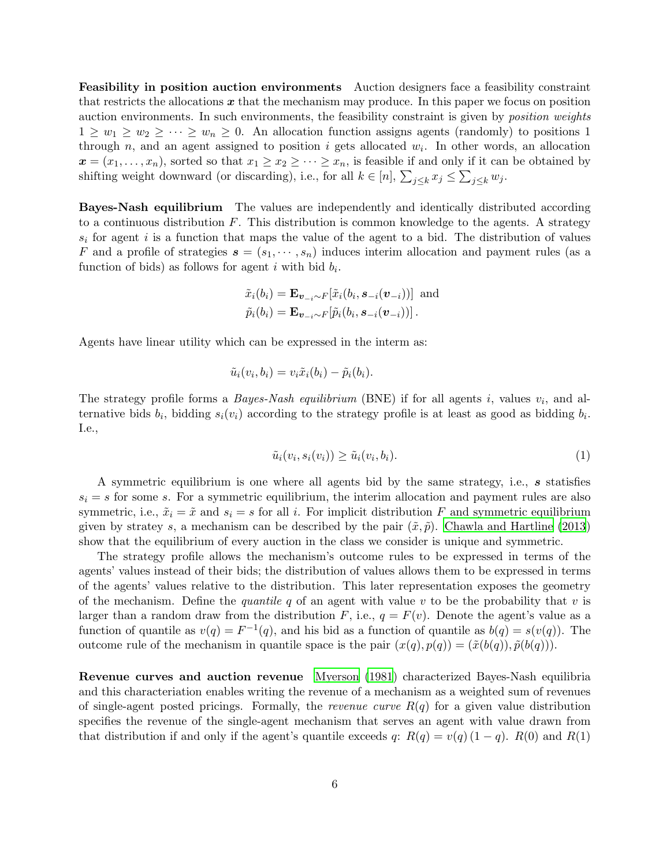Feasibility in position auction environments Auction designers face a feasibility constraint that restricts the allocations  $x$  that the mechanism may produce. In this paper we focus on position auction environments. In such environments, the feasibility constraint is given by *position weights*  $1 \geq w_1 \geq w_2 \geq \cdots \geq w_n \geq 0$ . An allocation function assigns agents (randomly) to positions 1 through  $n$ , and an agent assigned to position i gets allocated  $w_i$ . In other words, an allocation  $\boldsymbol{x} = (x_1, \ldots, x_n)$ , sorted so that  $x_1 \geq x_2 \geq \cdots \geq x_n$ , is feasible if and only if it can be obtained by shifting weight downward (or discarding), i.e., for all  $k \in [n]$ ,  $\sum_{j \leq k} x_j \leq \sum_{j \leq k} w_j$ .

Bayes-Nash equilibrium The values are independently and identically distributed according to a continuous distribution  $F$ . This distribution is common knowledge to the agents. A strategy  $s_i$  for agent i is a function that maps the value of the agent to a bid. The distribution of values F and a profile of strategies  $s = (s_1, \dots, s_n)$  induces interim allocation and payment rules (as a function of bids) as follows for agent i with bid  $b_i$ .

$$
\tilde{x}_i(b_i) = \mathbf{E}_{\mathbf{v}_{-i} \sim F}[\tilde{x}_i(b_i, \mathbf{s}_{-i}(\mathbf{v}_{-i}))] \text{ and } \n\tilde{p}_i(b_i) = \mathbf{E}_{\mathbf{v}_{-i} \sim F}[\tilde{p}_i(b_i, \mathbf{s}_{-i}(\mathbf{v}_{-i}))].
$$

Agents have linear utility which can be expressed in the interm as:

$$
\tilde{u}_i(v_i,b_i) = v_i \tilde{x}_i(b_i) - \tilde{p}_i(b_i).
$$

The strategy profile forms a *Bayes-Nash equilibrium* (BNE) if for all agents  $i$ , values  $v_i$ , and alternative bids  $b_i$ , bidding  $s_i(v_i)$  according to the strategy profile is at least as good as bidding  $b_i$ . I.e.,

<span id="page-5-0"></span>
$$
\tilde{u}_i(v_i, s_i(v_i)) \ge \tilde{u}_i(v_i, b_i). \tag{1}
$$

A symmetric equilibrium is one where all agents bid by the same strategy, i.e., s statisfies  $s_i = s$  for some s. For a symmetric equilibrium, the interim allocation and payment rules are also symmetric, i.e.,  $\tilde{x}_i = \tilde{x}$  and  $s_i = s$  for all i. For implicit distribution F and symmetric equilibrium given by stratey s, a mechanism can be described by the pair  $(\tilde{x}, \tilde{p})$ . [Chawla and Hartline \(2013](#page-20-2)) show that the equilibrium of every auction in the class we consider is unique and symmetric.

The strategy profile allows the mechanism's outcome rules to be expressed in terms of the agents' values instead of their bids; the distribution of values allows them to be expressed in terms of the agents' values relative to the distribution. This later representation exposes the geometry of the mechanism. Define the *quantile* q of an agent with value v to be the probability that v is larger than a random draw from the distribution F, i.e.,  $q = F(v)$ . Denote the agent's value as a function of quantile as  $v(q) = F^{-1}(q)$ , and his bid as a function of quantile as  $b(q) = s(v(q))$ . The outcome rule of the mechanism in quantile space is the pair  $(x(q), p(q)) = (\tilde{x}(b(q)), \tilde{p}(b(q))).$ 

Revenue curves and auction revenue [Myerson \(1981](#page-20-0)) characterized Bayes-Nash equilibria and this characteriation enables writing the revenue of a mechanism as a weighted sum of revenues of single-agent posted pricings. Formally, the *revenue curve* R(q) for a given value distribution specifies the revenue of the single-agent mechanism that serves an agent with value drawn from that distribution if and only if the agent's quantile exceeds q:  $R(q) = v(q) (1 - q)$ .  $R(0)$  and  $R(1)$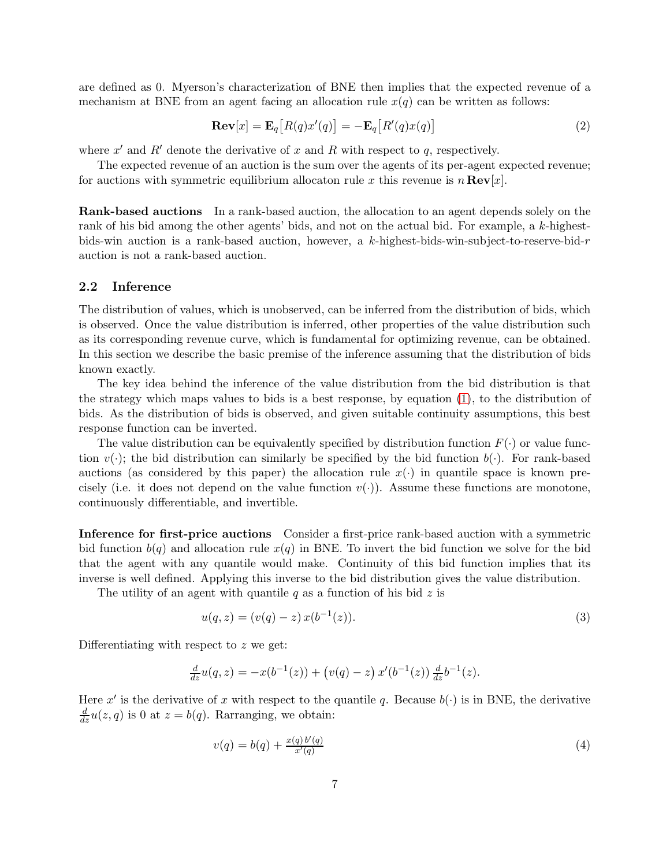are defined as 0. Myerson's characterization of BNE then implies that the expected revenue of a mechanism at BNE from an agent facing an allocation rule  $x(q)$  can be written as follows:

<span id="page-6-2"></span>
$$
\mathbf{Rev}[x] = \mathbf{E}_q[R(q)x'(q)] = -\mathbf{E}_q[R'(q)x(q)] \tag{2}
$$

where  $x'$  and  $R'$  denote the derivative of x and R with respect to q, respectively.

The expected revenue of an auction is the sum over the agents of its per-agent expected revenue; for auctions with symmetric equilibrium allocaton rule x this revenue is  $n \text{Rev}[x]$ .

Rank-based auctions In a rank-based auction, the allocation to an agent depends solely on the rank of his bid among the other agents' bids, and not on the actual bid. For example, a k-highestbids-win auction is a rank-based auction, however, a k-highest-bids-win-subject-to-reserve-bid-r auction is not a rank-based auction.

#### 2.2 Inference

The distribution of values, which is unobserved, can be inferred from the distribution of bids, which is observed. Once the value distribution is inferred, other properties of the value distribution such as its corresponding revenue curve, which is fundamental for optimizing revenue, can be obtained. In this section we describe the basic premise of the inference assuming that the distribution of bids known exactly.

The key idea behind the inference of the value distribution from the bid distribution is that the strategy which maps values to bids is a best response, by equation [\(1\)](#page-5-0), to the distribution of bids. As the distribution of bids is observed, and given suitable continuity assumptions, this best response function can be inverted.

The value distribution can be equivalently specified by distribution function  $F(\cdot)$  or value function  $v(\cdot)$ ; the bid distribution can similarly be specified by the bid function  $b(\cdot)$ . For rank-based auctions (as considered by this paper) the allocation rule  $x(\cdot)$  in quantile space is known precisely (i.e. it does not depend on the value function  $v(\cdot)$ ). Assume these functions are monotone, continuously differentiable, and invertible.

Inference for first-price auctions Consider a first-price rank-based auction with a symmetric bid function  $b(q)$  and allocation rule  $x(q)$  in BNE. To invert the bid function we solve for the bid that the agent with any quantile would make. Continuity of this bid function implies that its inverse is well defined. Applying this inverse to the bid distribution gives the value distribution.

The utility of an agent with quantile q as a function of his bid  $z$  is

<span id="page-6-0"></span>
$$
u(q, z) = (v(q) - z) x(b^{-1}(z)).
$$
\n(3)

Differentiating with respect to z we get:

$$
\frac{d}{dz}u(q,z) = -x(b^{-1}(z)) + (v(q) - z) x'(b^{-1}(z)) \frac{d}{dz}b^{-1}(z).
$$

Here x' is the derivative of x with respect to the quantile q. Because  $b(\cdot)$  is in BNE, the derivative  $\frac{d}{dz}u(z,q)$  is 0 at  $z=b(q)$ . Rarranging, we obtain:

<span id="page-6-1"></span>
$$
v(q) = b(q) + \frac{x(q) b'(q)}{x'(q)}
$$
\n(4)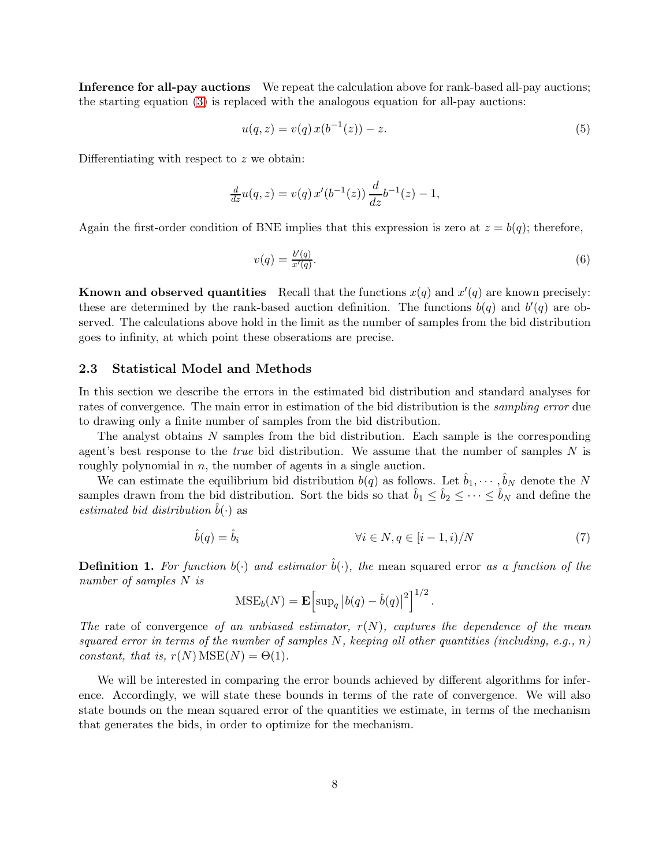Inference for all-pay auctions We repeat the calculation above for rank-based all-pay auctions; the starting equation [\(3\)](#page-6-0) is replaced with the analogous equation for all-pay auctions:

$$
u(q, z) = v(q) x(b^{-1}(z)) - z.
$$
\n(5)

Differentiating with respect to z we obtain:

$$
\frac{d}{dz}u(q,z) = v(q) x'(b^{-1}(z)) \frac{d}{dz}b^{-1}(z) - 1,
$$

Again the first-order condition of BNE implies that this expression is zero at  $z = b(q)$ ; therefore,

<span id="page-7-1"></span>
$$
v(q) = \frac{b'(q)}{x'(q)}.\tag{6}
$$

**Known and observed quantities** Recall that the functions  $x(q)$  and  $x'(q)$  are known precisely: these are determined by the rank-based auction definition. The functions  $b(q)$  and  $b'(q)$  are observed. The calculations above hold in the limit as the number of samples from the bid distribution goes to infinity, at which point these obserations are precise.

#### 2.3 Statistical Model and Methods

In this section we describe the errors in the estimated bid distribution and standard analyses for rates of convergence. The main error in estimation of the bid distribution is the *sampling error* due to drawing only a finite number of samples from the bid distribution.

The analyst obtains N samples from the bid distribution. Each sample is the corresponding agent's best response to the *true* bid distribution. We assume that the number of samples N is roughly polynomial in  $n$ , the number of agents in a single auction.

We can estimate the equilibrium bid distribution  $b(q)$  as follows. Let  $\hat{b}_1, \cdots, \hat{b}_N$  denote the N samples drawn from the bid distribution. Sort the bids so that  $\hat{b}_1 \leq \hat{b}_2 \leq \cdots \leq \hat{b}_N$  and define the *estimated bid distribution*  $b(\cdot)$  as

$$
\hat{b}(q) = \hat{b}_i \qquad \qquad \forall i \in N, q \in [i-1, i)/N \tag{7}
$$

**Definition 1.** For function  $b(\cdot)$  and estimator  $\hat{b}(\cdot)$ , the mean squared error *as a function of the number of samples* N *is*

<span id="page-7-0"></span>
$$
\text{MSE}_b(N) = \mathbf{E} \Big[ \sup_q |b(q) - \hat{b}(q)|^2 \Big]^{1/2}.
$$

*The* rate of convergence *of an unbiased estimator,* r(N)*, captures the dependence of the mean squared error in terms of the number of samples* N*, keeping all other quantities (including, e.g.,* n*) constant, that is,*  $r(N) \text{MSE}(N) = \Theta(1)$ *.* 

We will be interested in comparing the error bounds achieved by different algorithms for inference. Accordingly, we will state these bounds in terms of the rate of convergence. We will also state bounds on the mean squared error of the quantities we estimate, in terms of the mechanism that generates the bids, in order to optimize for the mechanism.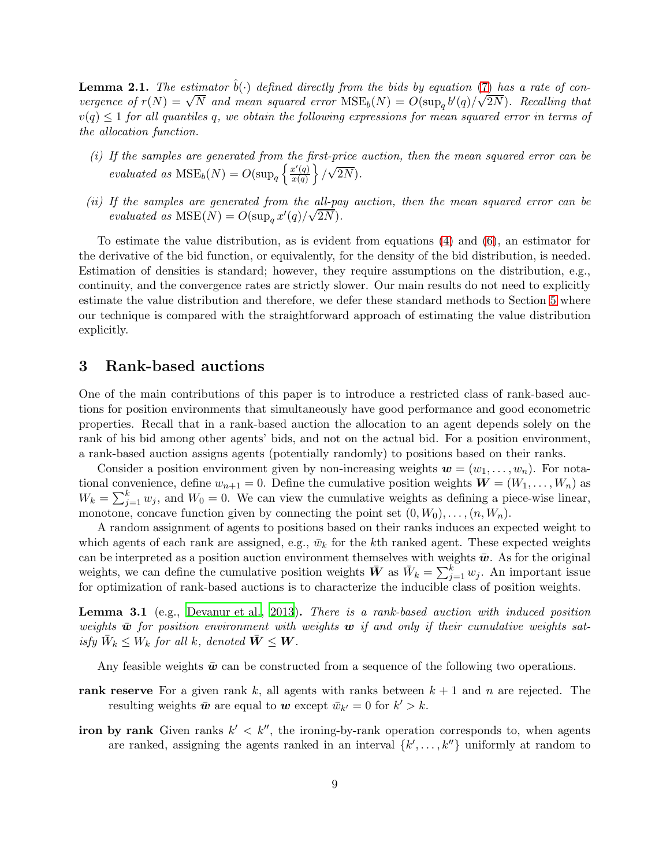<span id="page-8-2"></span>**Lemma 2.1.** The estimator  $\hat{b}(\cdot)$  defined directly from the bids by equation [\(7\)](#page-7-0) has a rate of con*vergence of*  $r(N) = \sqrt{N}$  *and mean squared error*  $MSE_b(N) = O(\sup_q b'(q)/\sqrt{2N})$ *. Recalling that*  $v(q) \leq 1$  *for all quantiles q, we obtain the following expressions for mean squared error in terms of the allocation function.*

- *(i) If the samples are generated from the first-price auction, then the mean squared error can be evaluated as*  $MSE_b(N) = O(\sup_q \left\{ \frac{x'(q)}{x(q)} \right\})$  $x(q)$  $\left\{\sqrt{2N}\right\}$ .
- *(ii) If the samples are generated from the all-pay auction, then the mean squared error can be*  $e$ *valuated as*  $MSE(N) = O(\sup_q x'(q)/\sqrt{2N})$ .

To estimate the value distribution, as is evident from equations [\(4\)](#page-6-1) and [\(6\)](#page-7-1), an estimator for the derivative of the bid function, or equivalently, for the density of the bid distribution, is needed. Estimation of densities is standard; however, they require assumptions on the distribution, e.g., continuity, and the convergence rates are strictly slower. Our main results do not need to explicitly estimate the value distribution and therefore, we defer these standard methods to Section [5](#page-16-0) where our technique is compared with the straightforward approach of estimating the value distribution explicitly.

### <span id="page-8-0"></span>3 Rank-based auctions

One of the main contributions of this paper is to introduce a restricted class of rank-based auctions for position environments that simultaneously have good performance and good econometric properties. Recall that in a rank-based auction the allocation to an agent depends solely on the rank of his bid among other agents' bids, and not on the actual bid. For a position environment, a rank-based auction assigns agents (potentially randomly) to positions based on their ranks.

Consider a position environment given by non-increasing weights  $\mathbf{w} = (w_1, \ldots, w_n)$ . For notational convenience, define  $w_{n+1} = 0$ . Define the cumulative position weights  $\mathbf{W} = (W_1, \ldots, W_n)$  as  $W_k = \sum_{j=1}^k w_j$ , and  $W_0 = 0$ . We can view the cumulative weights as defining a piece-wise linear, monotone, concave function given by connecting the point set  $(0, W_0), \ldots, (n, W_n)$ .

A random assignment of agents to positions based on their ranks induces an expected weight to which agents of each rank are assigned, e.g.,  $\bar{w}_k$  for the kth ranked agent. These expected weights can be interpreted as a position auction environment themselves with weights  $\bar{w}$ . As for the original weights, we can define the cumulative position weights  $\bar{W}$  as  $\bar{W}_k = \sum_{j=1}^k w_j$ . An important issue for optimization of rank-based auctions is to characterize the inducible class of position weights.

<span id="page-8-1"></span>Lemma 3.1 (e.g., [Devanur et al., 2013](#page-20-12)). *There is a rank-based auction with induced position* weights  $\bar{w}$  for position environment with weights  $w$  if and only if their cumulative weights sat $isfy \ \bar{W}_k \leq W_k \ for \ all \ k, \ denoted \ \bar{W} \leq W.$ 

Any feasible weights  $\bar{w}$  can be constructed from a sequence of the following two operations.

- rank reserve For a given rank k, all agents with ranks between  $k + 1$  and n are rejected. The resulting weights  $\bar{w}$  are equal to  $w$  except  $\bar{w}_{k'} = 0$  for  $k' > k$ .
- iron by rank Given ranks  $k' < k''$ , the ironing-by-rank operation corresponds to, when agents are ranked, assigning the agents ranked in an interval  $\{k', \ldots, k''\}$  uniformly at random to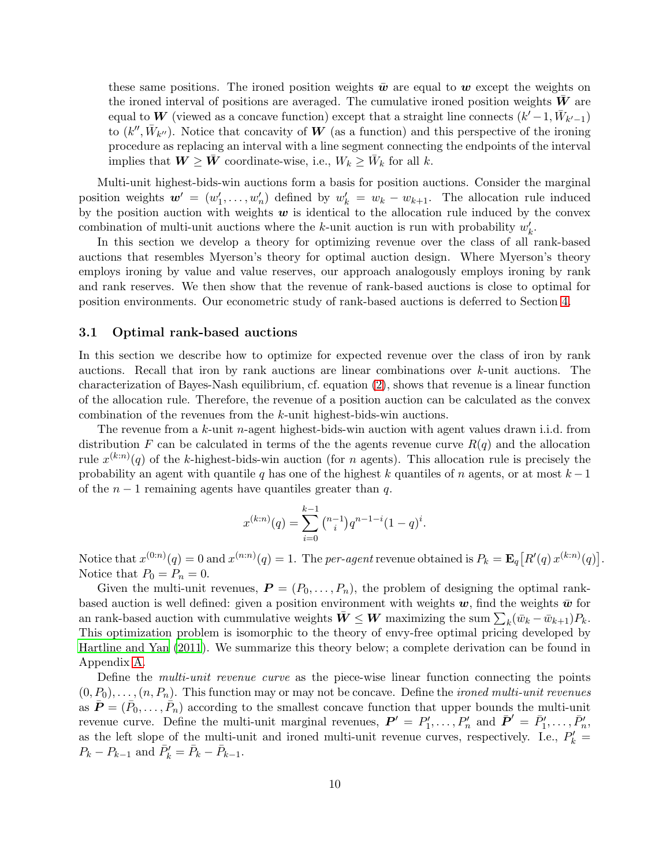these same positions. The ironed position weights  $\bar{w}$  are equal to w except the weights on the ironed interval of positions are averaged. The cumulative ironed position weights  $W$  are equal to W (viewed as a concave function) except that a straight line connects  $(k'-1, \bar{W}_{k'-1})$ to  $(k'', \bar{W}_{k''})$ . Notice that concavity of W (as a function) and this perspective of the ironing procedure as replacing an interval with a line segment connecting the endpoints of the interval implies that  $W \geq \bar{W}$  coordinate-wise, i.e.,  $W_k \geq \bar{W}_k$  for all k.

Multi-unit highest-bids-win auctions form a basis for position auctions. Consider the marginal position weights  $w' = (w'_1, \ldots, w'_n)$  defined by  $w'_k = w_k - w_{k+1}$ . The allocation rule induced by the position auction with weights  $w$  is identical to the allocation rule induced by the convex combination of multi-unit auctions where the k-unit auction is run with probability  $w'_k$ .

In this section we develop a theory for optimizing revenue over the class of all rank-based auctions that resembles Myerson's theory for optimal auction design. Where Myerson's theory employs ironing by value and value reserves, our approach analogously employs ironing by rank and rank reserves. We then show that the revenue of rank-based auctions is close to optimal for position environments. Our econometric study of rank-based auctions is deferred to Section [4.](#page-13-0)

#### 3.1 Optimal rank-based auctions

In this section we describe how to optimize for expected revenue over the class of iron by rank auctions. Recall that iron by rank auctions are linear combinations over k-unit auctions. The characterization of Bayes-Nash equilibrium, cf. equation [\(2\)](#page-6-2), shows that revenue is a linear function of the allocation rule. Therefore, the revenue of a position auction can be calculated as the convex combination of the revenues from the k-unit highest-bids-win auctions.

The revenue from a  $k$ -unit *n*-agent highest-bids-win auction with agent values drawn i.i.d. from distribution F can be calculated in terms of the the agents revenue curve  $R(q)$  and the allocation rule  $x^{(k:n)}(q)$  of the k-highest-bids-win auction (for n agents). This allocation rule is precisely the probability an agent with quantile q has one of the highest k quantiles of n agents, or at most  $k-1$ of the  $n-1$  remaining agents have quantiles greater than q.

$$
x^{(k:n)}(q) = \sum_{i=0}^{k-1} \binom{n-1}{i} q^{n-1-i} (1-q)^i.
$$

Notice that  $x^{(0:n)}(q) = 0$  and  $x^{(n:n)}(q) = 1$ . The *per-agent* revenue obtained is  $P_k = \mathbf{E}_q[R'(q)x^{(k:n)}(q)]$ . Notice that  $P_0 = P_n = 0$ .

Given the multi-unit revenues,  $P = (P_0, \ldots, P_n)$ , the problem of designing the optimal rankbased auction is well defined: given a position environment with weights  $w$ , find the weights  $\bar{w}$  for an rank-based auction with cummulative weights  $\bar{W} \leq W$  maximizing the sum  $\sum_{k} (\bar{w}_k - \bar{w}_{k+1}) P_k$ . This optimization problem is isomorphic to the theory of envy-free optimal pricing developed by [Hartline and Yan \(2011](#page-20-1)). We summarize this theory below; a complete derivation can be found in Appendix [A.](#page-21-2)

Define the *multi-unit revenue curve* as the piece-wise linear function connecting the points  $(0, P_0), \ldots, (n, P_n)$ . This function may or may not be concave. Define the *ironed multi-unit revenues* as  $\bar{\bm{P}} = (\bar{P}_0, \ldots, \bar{P}_n)$  according to the smallest concave function that upper bounds the multi-unit revenue curve. Define the multi-unit marginal revenues,  $P' = P'_1, \ldots, P'_n$  and  $\bar{P}' = \bar{P}'_1, \ldots, \bar{P}'_n$ , as the left slope of the multi-unit and ironed multi-unit revenue curves, respectively. I.e.,  $P'_k$  =  $P_k - P_{k-1}$  and  $\bar{P}'_k = \bar{P}_k - \bar{P}_{k-1}$ .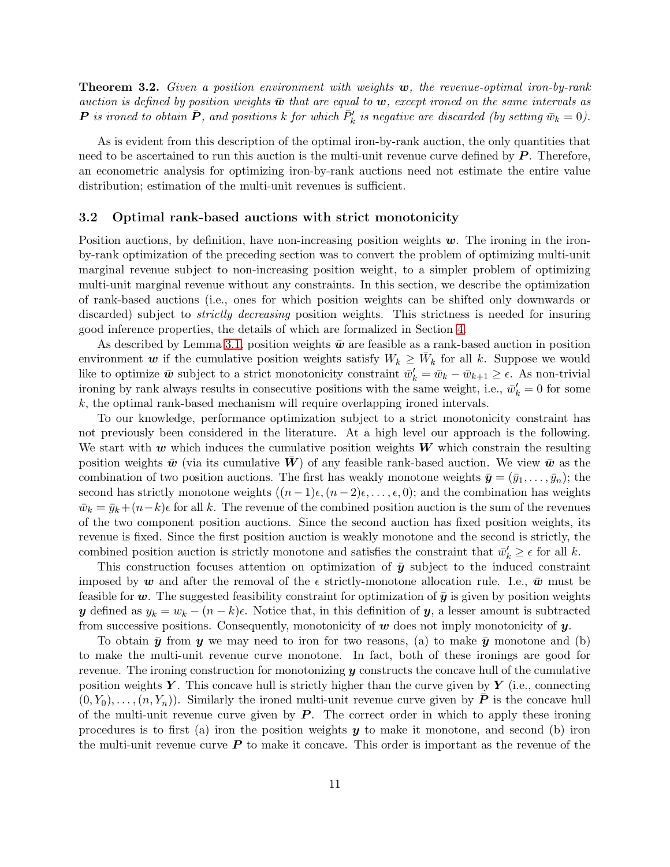<span id="page-10-0"></span>Theorem 3.2. *Given a position environment with weights* w*, the revenue-optimal iron-by-rank auction is defined by position weights*  $\bar{w}$  *that are equal to*  $w$ *, except ironed on the same intervals as*  $P$  is ironed to obtain  $\bar{P}$ , and positions k for which  $\bar{P}'_k$  is negative are discarded (by setting  $\bar{w}_k = 0$ ).

As is evident from this description of the optimal iron-by-rank auction, the only quantities that need to be ascertained to run this auction is the multi-unit revenue curve defined by  $P$ . Therefore, an econometric analysis for optimizing iron-by-rank auctions need not estimate the entire value distribution; estimation of the multi-unit revenues is sufficient.

#### <span id="page-10-1"></span>3.2 Optimal rank-based auctions with strict monotonicity

Position auctions, by definition, have non-increasing position weights  $w$ . The ironing in the ironby-rank optimization of the preceding section was to convert the problem of optimizing multi-unit marginal revenue subject to non-increasing position weight, to a simpler problem of optimizing multi-unit marginal revenue without any constraints. In this section, we describe the optimization of rank-based auctions (i.e., ones for which position weights can be shifted only downwards or discarded) subject to *strictly decreasing* position weights. This strictness is needed for insuring good inference properties, the details of which are formalized in Section [4.](#page-13-0)

As described by Lemma [3.1,](#page-8-1) position weights  $\bar{w}$  are feasible as a rank-based auction in position environment w if the cumulative position weights satisfy  $W_k \geq \bar{W}_k$  for all k. Suppose we would like to optimize  $\bar{w}$  subject to a strict monotonicity constraint  $\bar{w}'_k = \bar{w}_k - \bar{w}_{k+1} \ge \epsilon$ . As non-trivial ironing by rank always results in consecutive positions with the same weight, i.e.,  $\bar{w}'_k = 0$  for some k, the optimal rank-based mechanism will require overlapping ironed intervals.

To our knowledge, performance optimization subject to a strict monotonicity constraint has not previously been considered in the literature. At a high level our approach is the following. We start with  $w$  which induces the cumulative position weights  $W$  which constrain the resulting position weights  $\bar{w}$  (via its cumulative W) of any feasible rank-based auction. We view  $\bar{w}$  as the combination of two position auctions. The first has weakly monotone weights  $\bar{\mathbf{y}} = (\bar{y}_1, \dots, \bar{y}_n)$ ; the second has strictly monotone weights  $((n-1)\epsilon,(n-2)\epsilon,\ldots,\epsilon,0)$ ; and the combination has weights  $\bar{w}_k = \bar{y}_k + (n-k)\epsilon$  for all k. The revenue of the combined position auction is the sum of the revenues of the two component position auctions. Since the second auction has fixed position weights, its revenue is fixed. Since the first position auction is weakly monotone and the second is strictly, the combined position auction is strictly monotone and satisfies the constraint that  $\bar{w}'_k \geq \epsilon$  for all k.

This construction focuses attention on optimization of  $\bar{y}$  subject to the induced constraint imposed by w and after the removal of the  $\epsilon$  strictly-monotone allocation rule. I.e.,  $\bar{w}$  must be feasible for w. The suggested feasibility constraint for optimization of  $\bar{y}$  is given by position weights y defined as  $y_k = w_k - (n - k)\epsilon$ . Notice that, in this definition of y, a lesser amount is subtracted from successive positions. Consequently, monotonicity of  $w$  does not imply monotonicity of  $y$ .

To obtain  $\bar{y}$  from y we may need to iron for two reasons, (a) to make  $\bar{y}$  monotone and (b) to make the multi-unit revenue curve monotone. In fact, both of these ironings are good for revenue. The ironing construction for monotonizing  $y$  constructs the concave hull of the cumulative position weights  $Y$ . This concave hull is strictly higher than the curve given by  $Y$  (i.e., connecting  $(0, Y_0), \ldots, (n, Y_n)$ . Similarly the ironed multi-unit revenue curve given by  $\bar{\bm{P}}$  is the concave hull of the multi-unit revenue curve given by  $P$ . The correct order in which to apply these ironing procedures is to first (a) iron the position weights  $y$  to make it monotone, and second (b) iron the multi-unit revenue curve  $P$  to make it concave. This order is important as the revenue of the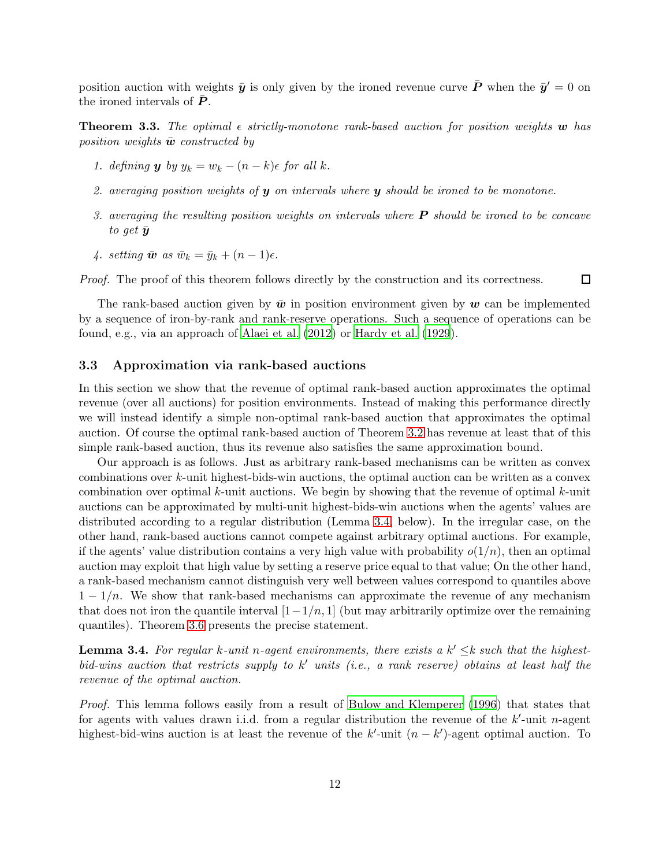position auction with weights  $\bar{y}$  is only given by the ironed revenue curve  $\bar{P}$  when the  $\bar{y}' = 0$  on the ironed intervals of  $P$ .

<span id="page-11-1"></span>**Theorem 3.3.** The optimal  $\epsilon$  strictly-monotone rank-based auction for position weights w has *position weights*  $\bar{\mathbf{w}}$  *constructed by* 

- *1. defining* **y** *by*  $y_k = w_k (n k)\epsilon$  *for all k.*
- *2. averaging position weights of* y *on intervals where* y *should be ironed to be monotone.*
- *3. averaging the resulting position weights on intervals where* P *should be ironed to be concave to get*  $\bar{y}$
- *4. setting*  $\bar{\mathbf{w}}$  *as*  $\bar{w}_k = \bar{y}_k + (n 1)\epsilon$ *.*

*Proof.* The proof of this theorem follows directly by the construction and its correctness.  $\Box$ 

The rank-based auction given by  $\bar{w}$  in position environment given by  $w$  can be implemented by a sequence of iron-by-rank and rank-reserve operations. Such a sequence of operations can be found, e.g., via an approach of [Alaei et al. \(2012](#page-19-1)) or [Hardy et](#page-20-13) al. [\(1929](#page-20-13)).

#### 3.3 Approximation via rank-based auctions

In this section we show that the revenue of optimal rank-based auction approximates the optimal revenue (over all auctions) for position environments. Instead of making this performance directly we will instead identify a simple non-optimal rank-based auction that approximates the optimal auction. Of course the optimal rank-based auction of Theorem [3.2](#page-10-0) has revenue at least that of this simple rank-based auction, thus its revenue also satisfies the same approximation bound.

Our approach is as follows. Just as arbitrary rank-based mechanisms can be written as convex combinations over k-unit highest-bids-win auctions, the optimal auction can be written as a convex combination over optimal  $k$ -unit auctions. We begin by showing that the revenue of optimal  $k$ -unit auctions can be approximated by multi-unit highest-bids-win auctions when the agents' values are distributed according to a regular distribution (Lemma [3.4,](#page-11-0) below). In the irregular case, on the other hand, rank-based auctions cannot compete against arbitrary optimal auctions. For example, if the agents' value distribution contains a very high value with probability  $o(1/n)$ , then an optimal auction may exploit that high value by setting a reserve price equal to that value; On the other hand, a rank-based mechanism cannot distinguish very well between values correspond to quantiles above  $1 - 1/n$ . We show that rank-based mechanisms can approximate the revenue of any mechanism that does not iron the quantile interval  $[1-1/n, 1]$  (but may arbitrarily optimize over the remaining quantiles). Theorem [3.6](#page-12-0) presents the precise statement.

<span id="page-11-0"></span>**Lemma 3.4.** For regular k-unit n-agent environments, there exists a  $k' \leq k$  such that the highest*bid-wins auction that restricts supply to* k ′ *units (i.e., a rank reserve) obtains at least half the revenue of the optimal auction.*

*Proof.* This lemma follows easily from a result of [Bulow and Klemperer \(1996](#page-20-14)) that states that for agents with values drawn i.i.d. from a regular distribution the revenue of the  $k'$ -unit n-agent highest-bid-wins auction is at least the revenue of the  $k'$ -unit  $(n - k')$ -agent optimal auction. To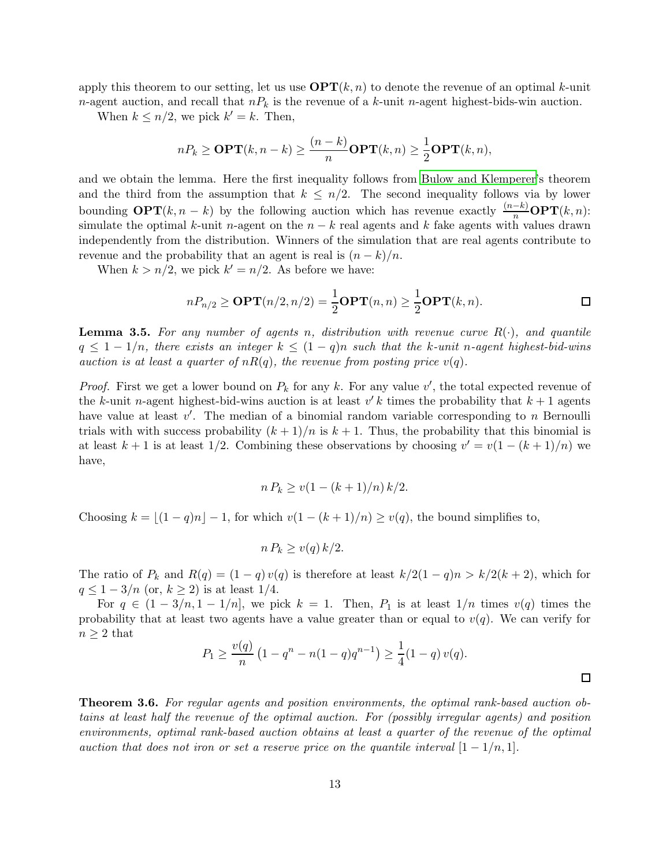apply this theorem to our setting, let us use  $\mathbf{OPT}(k,n)$  to denote the revenue of an optimal k-unit *n*-agent auction, and recall that  $n_k$  is the revenue of a k-unit n-agent highest-bids-win auction.

When  $k \leq n/2$ , we pick  $k' = k$ . Then,

$$
nP_k \ge \mathbf{OPT}(k, n-k) \ge \frac{(n-k)}{n} \mathbf{OPT}(k, n) \ge \frac{1}{2} \mathbf{OPT}(k, n),
$$

and we obtain the lemma. Here the first inequality follows from [Bulow and Klemperer'](#page-20-14)s theorem and the third from the assumption that  $k \leq n/2$ . The second inequality follows via by lower bounding  $\text{OPT}(k, n - k)$  by the following auction which has revenue exactly  $\frac{(n-k)}{n} \text{OPT}(k, n)$ : simulate the optimal k-unit n-agent on the  $n - k$  real agents and k fake agents with values drawn independently from the distribution. Winners of the simulation that are real agents contribute to revenue and the probability that an agent is real is  $(n-k)/n$ .

When  $k > n/2$ , we pick  $k' = n/2$ . As before we have:

$$
nP_{n/2} \ge \mathbf{OPT}(n/2, n/2) = \frac{1}{2}\mathbf{OPT}(n, n) \ge \frac{1}{2}\mathbf{OPT}(k, n).
$$

<span id="page-12-1"></span>Lemma 3.5. *For any number of agents* n*, distribution with revenue curve* R(·)*, and quantile*  $q \leq 1 - 1/n$ , there exists an integer  $k \leq (1 - q)n$  such that the k-unit n-agent highest-bid-wins *auction is at least a quarter of*  $nR(q)$ *, the revenue from posting price*  $v(q)$ *.* 

*Proof.* First we get a lower bound on  $P_k$  for any k. For any value  $v'$ , the total expected revenue of the k-unit n-agent highest-bid-wins auction is at least  $v' k$  times the probability that  $k + 1$  agents have value at least  $v'$ . The median of a binomial random variable corresponding to n Bernoulli trials with with success probability  $(k+1)/n$  is  $k+1$ . Thus, the probability that this binomial is at least  $k + 1$  is at least 1/2. Combining these observations by choosing  $v' = v(1 - (k + 1)/n)$  we have,

$$
n P_k \ge v(1 - (k+1)/n) k/2.
$$

Choosing  $k = |(1 - q)n| - 1$ , for which  $v(1 - (k + 1)/n) \ge v(q)$ , the bound simplifies to,

$$
n P_k \ge v(q) k/2.
$$

The ratio of  $P_k$  and  $R(q) = (1 - q) v(q)$  is therefore at least  $k/2(1 - q)n > k/2(k + 2)$ , which for  $q \leq 1-3/n$  (or,  $k \geq 2$ ) is at least 1/4.

For  $q \in (1-3/n, 1-1/n]$ , we pick  $k = 1$ . Then,  $P_1$  is at least  $1/n$  times  $v(q)$  times the probability that at least two agents have a value greater than or equal to  $v(q)$ . We can verify for  $n \geq 2$  that

$$
P_1 \ge \frac{v(q)}{n} \left(1 - q^n - n(1 - q)q^{n-1}\right) \ge \frac{1}{4}(1 - q) v(q).
$$

 $\Box$ 

<span id="page-12-0"></span>Theorem 3.6. *For regular agents and position environments, the optimal rank-based auction obtains at least half the revenue of the optimal auction. For (possibly irregular agents) and position environments, optimal rank-based auction obtains at least a quarter of the revenue of the optimal auction that does not iron or set a reserve price on the quantile interval*  $[1 - 1/n, 1]$ *.*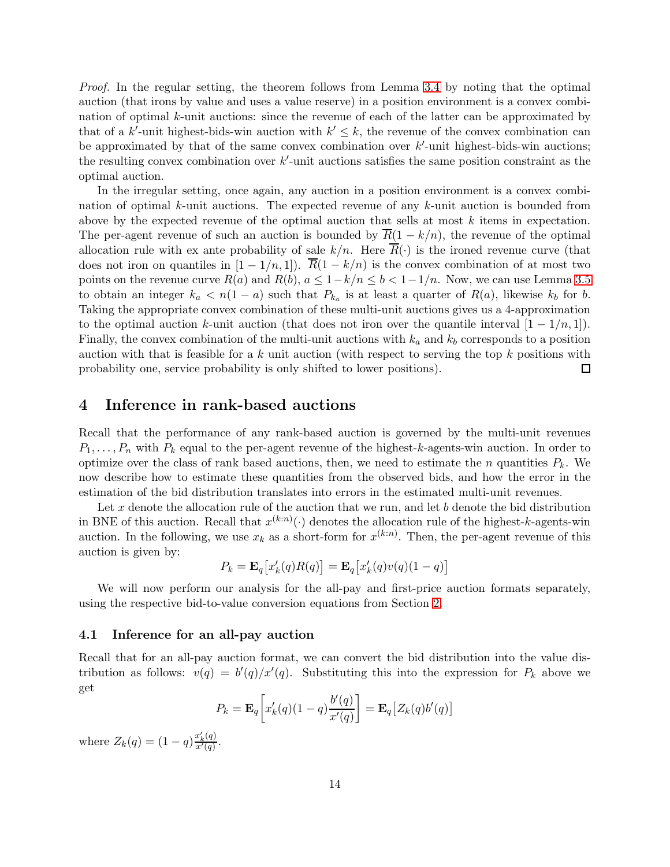*Proof.* In the regular setting, the theorem follows from Lemma [3.4](#page-11-0) by noting that the optimal auction (that irons by value and uses a value reserve) in a position environment is a convex combination of optimal k-unit auctions: since the revenue of each of the latter can be approximated by that of a k'-unit highest-bids-win auction with  $k' \leq k$ , the revenue of the convex combination can be approximated by that of the same convex combination over  $k'$ -unit highest-bids-win auctions; the resulting convex combination over  $k'$ -unit auctions satisfies the same position constraint as the optimal auction.

In the irregular setting, once again, any auction in a position environment is a convex combination of optimal k-unit auctions. The expected revenue of any k-unit auction is bounded from above by the expected revenue of the optimal auction that sells at most k items in expectation. The per-agent revenue of such an auction is bounded by  $\overline{R}(1 - k/n)$ , the revenue of the optimal allocation rule with ex ante probability of sale  $k/n$ . Here  $\overline{R}(\cdot)$  is the ironed revenue curve (that does not iron on quantiles in  $[1 - 1/n, 1]$ .  $\overline{R}(1 - k/n)$  is the convex combination of at most two points on the revenue curve  $R(a)$  and  $R(b)$ ,  $a \leq 1-k/n \leq b < 1-1/n$ . Now, we can use Lemma [3.5](#page-12-1) to obtain an integer  $k_a < n(1-a)$  such that  $P_{k_a}$  is at least a quarter of  $R(a)$ , likewise  $k_b$  for b. Taking the appropriate convex combination of these multi-unit auctions gives us a 4-approximation to the optimal auction k-unit auction (that does not iron over the quantile interval  $[1 - 1/n, 1]$ ). Finally, the convex combination of the multi-unit auctions with  $k_a$  and  $k_b$  corresponds to a position auction with that is feasible for a  $k$  unit auction (with respect to serving the top  $k$  positions with probability one, service probability is only shifted to lower positions).  $\Box$ 

### <span id="page-13-0"></span>4 Inference in rank-based auctions

Recall that the performance of any rank-based auction is governed by the multi-unit revenues  $P_1, \ldots, P_n$  with  $P_k$  equal to the per-agent revenue of the highest-k-agents-win auction. In order to optimize over the class of rank based auctions, then, we need to estimate the n quantities  $P_k$ . We now describe how to estimate these quantities from the observed bids, and how the error in the estimation of the bid distribution translates into errors in the estimated multi-unit revenues.

Let x denote the allocation rule of the auction that we run, and let b denote the bid distribution in BNE of this auction. Recall that  $x^{(k:n)}(\cdot)$  denotes the allocation rule of the highest-k-agents-win auction. In the following, we use  $x_k$  as a short-form for  $x^{(k:n)}$ . Then, the per-agent revenue of this auction is given by:

$$
P_k = \mathbf{E}_q\big[x'_k(q)R(q)\big] = \mathbf{E}_q\big[x'_k(q)v(q)(1-q)\big]
$$

We will now perform our analysis for the all-pay and first-price auction formats separately, using the respective bid-to-value conversion equations from Section [2.](#page-4-0)

#### 4.1 Inference for an all-pay auction

Recall that for an all-pay auction format, we can convert the bid distribution into the value distribution as follows:  $v(q) = b'(q)/x'(q)$ . Substituting this into the expression for  $P_k$  above we get

$$
P_k = \mathbf{E}_q \bigg[ x'_k(q)(1-q) \frac{b'(q)}{x'(q)} \bigg] = \mathbf{E}_q \big[ Z_k(q) b'(q) \big]
$$

where  $Z_k(q) = (1-q) \frac{x'_k(q)}{x'(q)}$  $\frac{x_k(q)}{x'(q)}$ .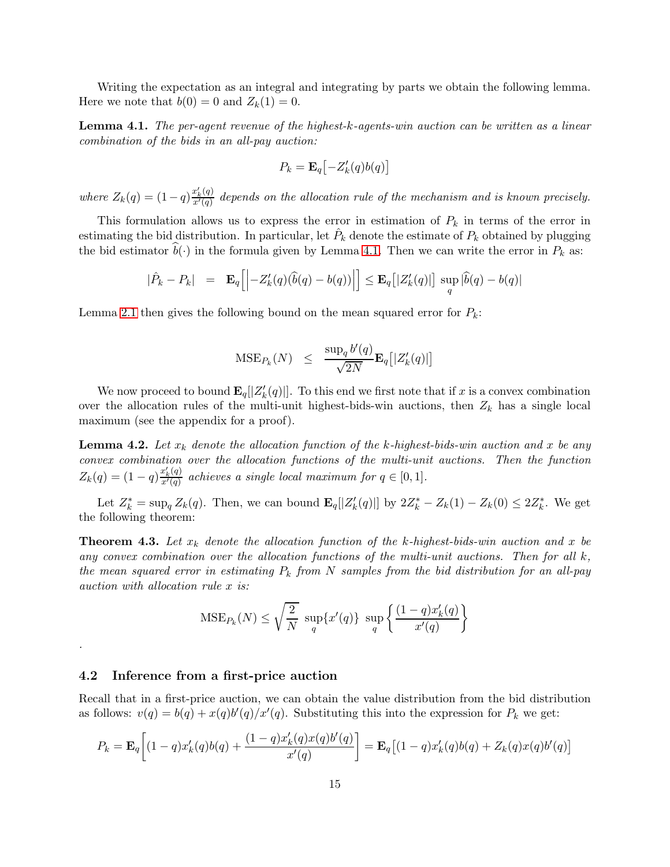Writing the expectation as an integral and integrating by parts we obtain the following lemma. Here we note that  $b(0) = 0$  and  $Z_k(1) = 0$ .

<span id="page-14-0"></span>Lemma 4.1. *The per-agent revenue of the highest-*k*-agents-win auction can be written as a linear combination of the bids in an all-pay auction:*

$$
P_k = \mathbf{E}_q\bigl[-Z'_k(q)b(q)\bigr]
$$

*where*  $Z_k(q) = (1-q) \frac{x'_k(q)}{x'(q)}$  $\frac{x_k(q)}{x'(q)}$  depends on the allocation rule of the mechanism and is known precisely.

This formulation allows us to express the error in estimation of  $P_k$  in terms of the error in estimating the bid distribution. In particular, let  $\hat{P}_k$  denote the estimate of  $P_k$  obtained by plugging the bid estimator  $\hat{b}(\cdot)$  in the formula given by Lemma [4.1.](#page-14-0) Then we can write the error in  $P_k$  as:

$$
|\hat{P}_k - P_k| \quad = \quad \mathbf{E}_q \Big[ \Big| - Z'_k(q) \big( \widehat{b}(q) - b(q) \big) \Big| \Big] \leq \mathbf{E}_q \big[ |Z'_k(q)| \big] \, \sup_q \, |\widehat{b}(q) - b(q)|
$$

Lemma [2.1](#page-8-2) then gives the following bound on the mean squared error for  $P_k$ :

$$
\text{MSE}_{P_k}(N) \ \leq \ \frac{\sup_q b'(q)}{\sqrt{2N}} \mathbf{E}_q \big[ |Z'_k(q)| \big]
$$

We now proceed to bound  $\mathbf{E}_q[|Z'_k(q)|]$ . To this end we first note that if x is a convex combination over the allocation rules of the multi-unit highest-bids-win auctions, then  $Z_k$  has a single local maximum (see the appendix for a proof).

<span id="page-14-2"></span>**Lemma 4.2.** Let  $x_k$  denote the allocation function of the k-highest-bids-win auction and x be any *convex combination over the allocation functions of the multi-unit auctions. Then the function*  $Z_k(q) = (1-q) \frac{x'_k(q)}{x'(q)}$  $\frac{x_k(q)}{x'(q)}$  achieves a single local maximum for  $q \in [0,1]$ .

Let  $Z_k^* = \sup_q Z_k(q)$ . Then, we can bound  $\mathbf{E}_q[|Z'_k(q)|]$  by  $2Z_k^* - Z_k(1) - Z_k(0) \leq 2Z_k^*$ . We get the following theorem:

<span id="page-14-1"></span>**Theorem 4.3.** Let  $x_k$  denote the allocation function of the k-highest-bids-win auction and x be *any convex combination over the allocation functions of the multi-unit auctions. Then for all* k*, the mean squared error in estimating* P<sup>k</sup> *from* N *samples from the bid distribution for an all-pay auction with allocation rule* x *is:*

$$
\text{MSE}_{P_k}(N) \le \sqrt{\frac{2}{N}} \ \sup_q \{x'(q)\} \ \sup_q \left\{ \frac{(1-q)x'_k(q)}{x'(q)} \right\}
$$

#### 4.2 Inference from a first-price auction

*.*

Recall that in a first-price auction, we can obtain the value distribution from the bid distribution as follows:  $v(q) = b(q) + x(q)b'(q)/x'(q)$ . Substituting this into the expression for  $P_k$  we get:

$$
P_k = \mathbf{E}_q \left[ (1-q)x'_k(q)b(q) + \frac{(1-q)x'_k(q)x(q)b'(q)}{x'(q)} \right] = \mathbf{E}_q \left[ (1-q)x'_k(q)b(q) + Z_k(q)x(q)b'(q) \right]
$$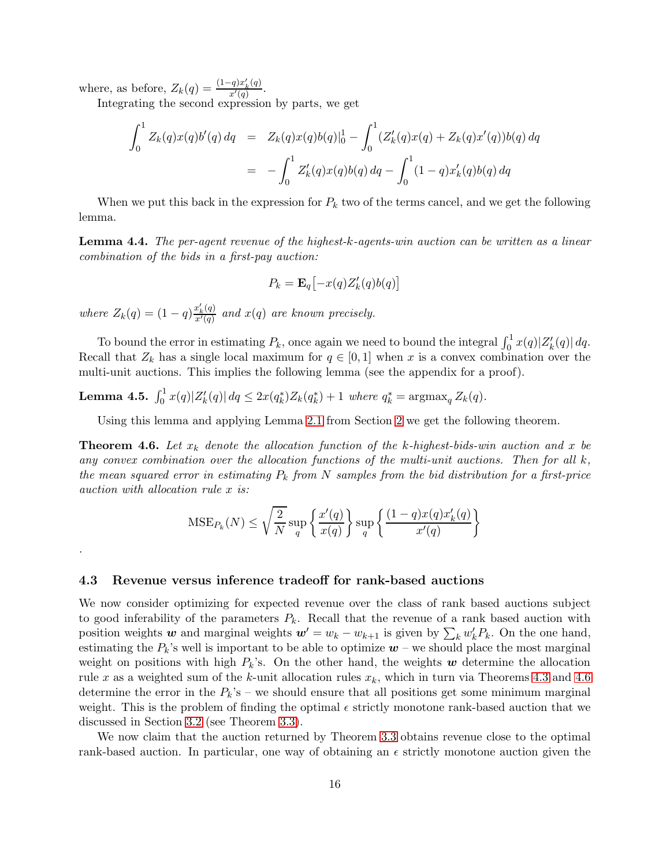where, as before,  $Z_k(q) = \frac{(1-q)x'_k(q)}{x'(q)}$  $rac{q(x_k(q))}{x'(q)}$ .

*.*

Integrating the second expression by parts, we get

$$
\int_0^1 Z_k(q)x(q)b'(q) dq = Z_k(q)x(q)b(q)|_0^1 - \int_0^1 (Z'_k(q)x(q) + Z_k(q)x'(q))b(q) dq
$$
  
= 
$$
- \int_0^1 Z'_k(q)x(q)b(q) dq - \int_0^1 (1-q)x'_k(q)b(q) dq
$$

When we put this back in the expression for  $P_k$  two of the terms cancel, and we get the following lemma.

Lemma 4.4. *The per-agent revenue of the highest-*k*-agents-win auction can be written as a linear combination of the bids in a first-pay auction:*

$$
P_k = \mathbf{E}_q\bigl[-x(q)Z'_k(q)b(q)\bigr]
$$

*where*  $Z_k(q) = (1-q) \frac{x'_k(q)}{x'(q)}$  $\frac{x_k(q)}{x'(q)}$  and  $x(q)$  are known precisely.

To bound the error in estimating  $P_k$ , once again we need to bound the integral  $\int_0^1 x(q)|Z'_k(q)| dq$ . Recall that  $Z_k$  has a single local maximum for  $q \in [0,1]$  when x is a convex combination over the multi-unit auctions. This implies the following lemma (see the appendix for a proof).

<span id="page-15-1"></span>Lemma 4.5.  $\int_0^1 x(q)|Z'_k(q)| dq \leq 2x(q_k^*)Z_k(q_k^*) + 1$  where  $q_k^* = \text{argmax}_q Z_k(q)$ .

Using this lemma and applying Lemma [2.1](#page-8-2) from Section [2](#page-4-0) we get the following theorem.

<span id="page-15-0"></span>**Theorem 4.6.** Let  $x_k$  denote the allocation function of the k-highest-bids-win auction and x be *any convex combination over the allocation functions of the multi-unit auctions. Then for all* k*, the mean squared error in estimating*  $P_k$  *from*  $N$  *samples from the bid distribution for a first-price auction with allocation rule* x *is:*

$$
\text{MSE}_{P_k}(N) \le \sqrt{\frac{2}{N}} \sup_q \left\{ \frac{x'(q)}{x(q)} \right\} \sup_q \left\{ \frac{(1-q)x(q)x'_k(q)}{x'(q)} \right\}
$$

#### 4.3 Revenue versus inference tradeoff for rank-based auctions

We now consider optimizing for expected revenue over the class of rank based auctions subject to good inferability of the parameters  $P_k$ . Recall that the revenue of a rank based auction with position weights w and marginal weights  $w' = w_k - w_{k+1}$  is given by  $\sum_k w'_k P_k$ . On the one hand, estimating the  $P_k$ 's well is important to be able to optimize  $w$  – we should place the most marginal weight on positions with high  $P_k$ 's. On the other hand, the weights w determine the allocation rule x as a weighted sum of the k-unit allocation rules  $x_k$ , which in turn via Theorems [4.3](#page-14-1) and [4.6](#page-15-0) determine the error in the  $P_k$ 's – we should ensure that all positions get some minimum marginal weight. This is the problem of finding the optimal  $\epsilon$  strictly monotone rank-based auction that we discussed in Section [3.2](#page-10-1) (see Theorem [3.3\)](#page-11-1).

We now claim that the auction returned by Theorem [3.3](#page-11-1) obtains revenue close to the optimal rank-based auction. In particular, one way of obtaining an  $\epsilon$  strictly monotone auction given the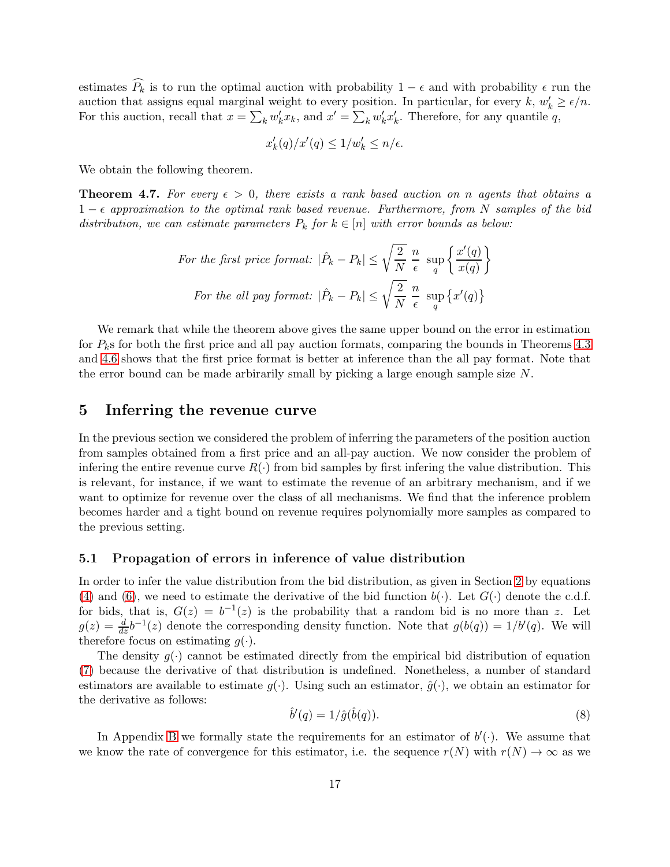estimates  $\widehat{P_k}$  is to run the optimal auction with probability 1 –  $\epsilon$  and with probability  $\epsilon$  run the auction that assigns equal marginal weight to every position. In particular, for every  $k, w'_k \ge \epsilon/n$ . For this auction, recall that  $x = \sum_k w'_k x_k$ , and  $x' = \sum_k w'_k x'_k$ . Therefore, for any quantile q,

$$
x'_{k}(q)/x'(q) \le 1/w'_{k} \le n/\epsilon.
$$

We obtain the following theorem.

<span id="page-16-2"></span>**Theorem 4.7.** For every  $\epsilon > 0$ , there exists a rank based auction on n agents that obtains a 1 − ǫ *approximation to the optimal rank based revenue. Furthermore, from* N *samples of the bid distribution, we can estimate parameters*  $P_k$  *for*  $k \in [n]$  *with error bounds as below:* 

For the first price format: 
$$
|\hat{P}_k - P_k| \le \sqrt{\frac{2}{N}} \frac{n}{\epsilon} \sup_q \left\{ \frac{x'(q)}{x(q)} \right\}
$$
  
For the all pay format:  $|\hat{P}_k - P_k| \le \sqrt{\frac{2}{N}} \frac{n}{\epsilon} \sup_q \left\{ x'(q) \right\}$ 

We remark that while the theorem above gives the same upper bound on the error in estimation for  $P_k$ s for both the first price and all pay auction formats, comparing the bounds in Theorems [4.3](#page-14-1) and [4.6](#page-15-0) shows that the first price format is better at inference than the all pay format. Note that the error bound can be made arbirarily small by picking a large enough sample size N.

### <span id="page-16-0"></span>5 Inferring the revenue curve

In the previous section we considered the problem of inferring the parameters of the position auction from samples obtained from a first price and an all-pay auction. We now consider the problem of infering the entire revenue curve  $R(\cdot)$  from bid samples by first infering the value distribution. This is relevant, for instance, if we want to estimate the revenue of an arbitrary mechanism, and if we want to optimize for revenue over the class of all mechanisms. We find that the inference problem becomes harder and a tight bound on revenue requires polynomially more samples as compared to the previous setting.

#### 5.1 Propagation of errors in inference of value distribution

In order to infer the value distribution from the bid distribution, as given in Section [2](#page-4-0) by equations [\(4\)](#page-6-1) and [\(6\)](#page-7-1), we need to estimate the derivative of the bid function  $b(\cdot)$ . Let  $G(\cdot)$  denote the c.d.f. for bids, that is,  $G(z) = b^{-1}(z)$  is the probability that a random bid is no more than z. Let  $g(z) = \frac{d}{dz}b^{-1}(z)$  denote the corresponding density function. Note that  $g(b(q)) = 1/b'(q)$ . We will therefore focus on estimating  $q(.)$ .

The density  $q(\cdot)$  cannot be estimated directly from the empirical bid distribution of equation [\(7\)](#page-7-0) because the derivative of that distribution is undefined. Nonetheless, a number of standard estimators are available to estimate  $g(\cdot)$ . Using such an estimator,  $\hat{g}(\cdot)$ , we obtain an estimator for the derivative as follows:

<span id="page-16-1"></span>
$$
\hat{b}'(q) = 1/\hat{g}(\hat{b}(q)).\tag{8}
$$

In Appendix [B](#page-22-0) we formally state the requirements for an estimator of  $b'(\cdot)$ . We assume that we know the rate of convergence for this estimator, i.e. the sequence  $r(N)$  with  $r(N) \to \infty$  as we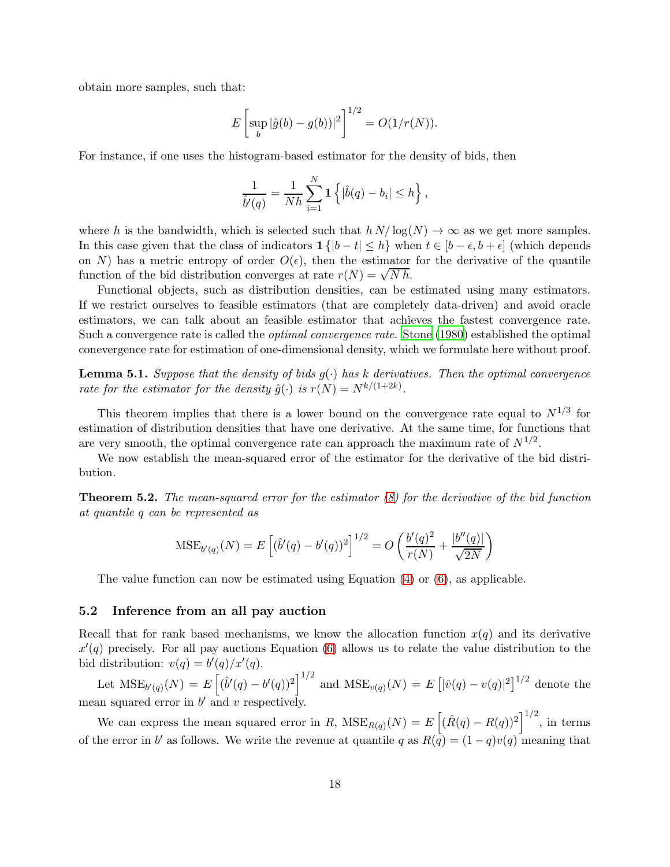obtain more samples, such that:

$$
E\left[\sup_{b}|\hat{g}(b) - g(b))|^2\right]^{1/2} = O(1/r(N)).
$$

For instance, if one uses the histogram-based estimator for the density of bids, then

$$
\frac{1}{\hat{b}'(q)} = \frac{1}{Nh} \sum_{i=1}^{N} \mathbf{1} \left\{ |\hat{b}(q) - b_i| \le h \right\},\,
$$

where h is the bandwidth, which is selected such that  $h N / \log(N) \to \infty$  as we get more samples. In this case given that the class of indicators  $1\{|b-t|\leq h\}$  when  $t\in[b-\epsilon,b+\epsilon]$  (which depends on N) has a metric entropy of order  $O(\epsilon)$ , then the estimator for the derivative of the quantile function of the bid distribution converges at rate  $r(N) = \sqrt{N h}$ .

Functional objects, such as distribution densities, can be estimated using many estimators. If we restrict ourselves to feasible estimators (that are completely data-driven) and avoid oracle estimators, we can talk about an feasible estimator that achieves the fastest convergence rate. Such a convergence rate is called the *optimal convergence rate*. [Stone \(1980](#page-21-3)) established the optimal conevergence rate for estimation of one-dimensional density, which we formulate here without proof.

<span id="page-17-1"></span>**Lemma 5.1.** *Suppose that the density of bids*  $g(\cdot)$  *has k derivatives. Then the optimal convergence rate for the estimator for the density*  $\hat{g}(\cdot)$  *is*  $r(N) = N^{k/(1+2k)}$ .

This theorem implies that there is a lower bound on the convergence rate equal to  $N^{1/3}$  for estimation of distribution densities that have one derivative. At the same time, for functions that are very smooth, the optimal convergence rate can approach the maximum rate of  $N^{1/2}$ .

We now establish the mean-squared error of the estimator for the derivative of the bid distribution.

<span id="page-17-0"></span>Theorem 5.2. *The mean-squared error for the estimator [\(8\)](#page-16-1) for the derivative of the bid function at quantile* q *can be represented as*

$$
\text{MSE}_{b'(q)}(N) = E\left[ (\hat{b}'(q) - b'(q))^2 \right]^{1/2} = O\left( \frac{b'(q)^2}{r(N)} + \frac{|b''(q)|}{\sqrt{2N}} \right)
$$

The value function can now be estimated using Equation [\(4\)](#page-6-1) or [\(6\)](#page-7-1), as applicable.

#### 5.2 Inference from an all pay auction

Recall that for rank based mechanisms, we know the allocation function  $x(q)$  and its derivative  $x'(q)$  precisely. For all pay auctions Equation [\(6\)](#page-7-1) allows us to relate the value distribution to the bid distribution:  $v(q) = b'(q)/x'(q)$ .

Let  $\text{MSE}_{b'(q)}(N) = E\left[ (\hat{b}'(q) - b'(q))^2 \right]^{1/2}$  and  $\text{MSE}_{v(q)}(N) = E\left[ |\hat{v}(q) - v(q)|^2 \right]^{1/2}$  denote the mean squared error in  $b'$  and  $v$  respectively.

We can express the mean squared error in R,  $MSE_{R(q)}(N) = E\left[ (\hat{R}(q) - R(q))^2 \right]^{1/2}$ , in terms of the error in b' as follows. We write the revenue at quantile q as  $R(\bar{q}) = (1 - q)v(q)$  meaning that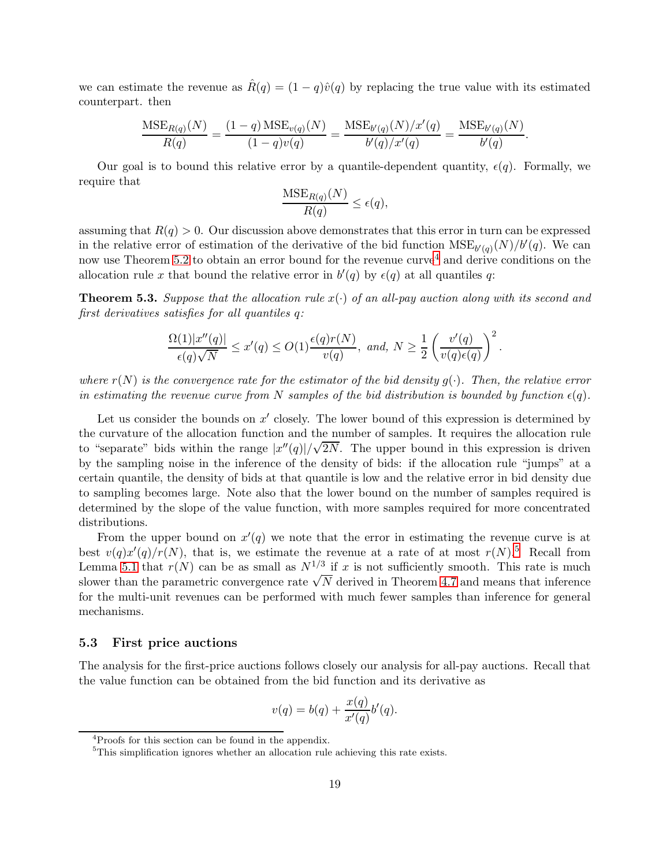we can estimate the revenue as  $\hat{R}(q) = (1 - q)\hat{v}(q)$  by replacing the true value with its estimated counterpart. then

$$
\frac{\text{MSE}_{R(q)}(N)}{R(q)} = \frac{(1-q)\,\text{MSE}_{v(q)}(N)}{(1-q)v(q)} = \frac{\text{MSE}_{b'(q)}(N)/x'(q)}{b'(q)/x'(q)} = \frac{\text{MSE}_{b'(q)}(N)}{b'(q)}.
$$

Our goal is to bound this relative error by a quantile-dependent quantity,  $\epsilon(q)$ . Formally, we require that

$$
\frac{\mathrm{MSE}_{R(q)}(N)}{R(q)} \le \epsilon(q),
$$

assuming that  $R(q) > 0$ . Our discussion above demonstrates that this error in turn can be expressed in the relative error of estimation of the derivative of the bid function  $\mathrm{MSE}_{b'(q)}(N)/b'(q)$ . We can now use Theorem [5.2](#page-17-0) to obtain an error bound for the revenue  $curve<sup>4</sup>$  $curve<sup>4</sup>$  $curve<sup>4</sup>$  and derive conditions on the allocation rule x that bound the relative error in  $b'(q)$  by  $\epsilon(q)$  at all quantiles q:

<span id="page-18-2"></span>**Theorem 5.3.** Suppose that the allocation rule  $x(\cdot)$  of an all-pay auction along with its second and *first derivatives satisfies for all quantiles* q*:*

$$
\frac{\Omega(1)|x''(q)|}{\epsilon(q)\sqrt{N}}\leq x'(q)\leq O(1)\frac{\epsilon(q)r(N)}{v(q)}, \text{ and, } N\geq \frac{1}{2}\left(\frac{v'(q)}{v(q)\epsilon(q)}\right)^2.
$$

*where*  $r(N)$  *is the convergence rate for the estimator of the bid density*  $q(\cdot)$ *. Then, the relative error in estimating the revenue curve from* N *samples of the bid distribution is bounded by function*  $\epsilon(q)$ *.* 

Let us consider the bounds on  $x'$  closely. The lower bound of this expression is determined by the curvature of the allocation function and the number of samples. It requires the allocation rule to "separate" bids within the range  $|x''(q)|/\sqrt{2N}$ . The upper bound in this expression is driven by the sampling noise in the inference of the density of bids: if the allocation rule "jumps" at a certain quantile, the density of bids at that quantile is low and the relative error in bid density due to sampling becomes large. Note also that the lower bound on the number of samples required is determined by the slope of the value function, with more samples required for more concentrated distributions.

From the upper bound on  $x'(q)$  we note that the error in estimating the revenue curve is at best  $v(q)x'(q)/r(N)$ , that is, we estimate the revenue at a rate of at most  $r(N)$ .<sup>[5](#page-18-1)</sup> Recall from Lemma [5.1](#page-17-1) that  $r(N)$  can be as small as  $N^{1/3}$  if x is not sufficiently smooth. This rate is much slower than the parametric convergence rate  $\sqrt{N}$  derived in Theorem [4.7](#page-16-2) and means that inference for the multi-unit revenues can be performed with much fewer samples than inference for general mechanisms.

#### 5.3 First price auctions

The analysis for the first-price auctions follows closely our analysis for all-pay auctions. Recall that the value function can be obtained from the bid function and its derivative as

$$
v(q) = b(q) + \frac{x(q)}{x'(q)}b'(q).
$$

<sup>4</sup>Proofs for this section can be found in the appendix.

<span id="page-18-1"></span><span id="page-18-0"></span><sup>&</sup>lt;sup>5</sup>This simplification ignores whether an allocation rule achieving this rate exists.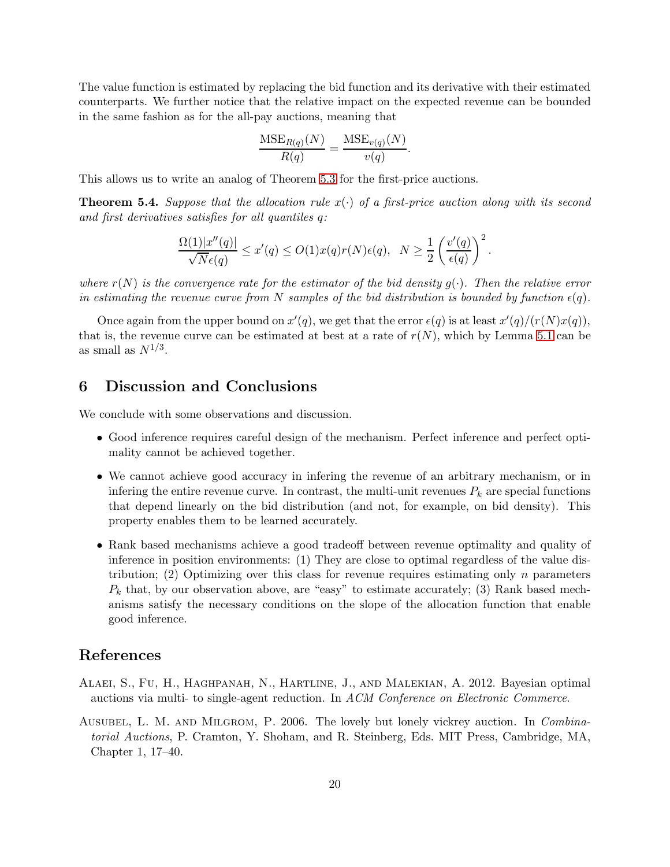The value function is estimated by replacing the bid function and its derivative with their estimated counterparts. We further notice that the relative impact on the expected revenue can be bounded in the same fashion as for the all-pay auctions, meaning that

$$
\frac{\mathrm{MSE}_{R(q)}(N)}{R(q)} = \frac{\mathrm{MSE}_{v(q)}(N)}{v(q)}.
$$

This allows us to write an analog of Theorem [5.3](#page-18-2) for the first-price auctions.

<span id="page-19-2"></span>**Theorem 5.4.** Suppose that the allocation rule  $x(\cdot)$  of a first-price auction along with its second *and first derivatives satisfies for all quantiles* q*:*

$$
\frac{\Omega(1)|x''(q)|}{\sqrt{N}\epsilon(q)} \le x'(q) \le O(1)x(q)r(N)\epsilon(q), N \ge \frac{1}{2}\left(\frac{v'(q)}{\epsilon(q)}\right)^2.
$$

*where*  $r(N)$  *is the convergence rate for the estimator of the bid density*  $g(\cdot)$ *. Then the relative error in estimating the revenue curve from* N *samples of the bid distribution is bounded by function*  $\epsilon(q)$ *.* 

Once again from the upper bound on  $x'(q)$ , we get that the error  $\epsilon(q)$  is at least  $x'(q)/(r(N)x(q)),$ that is, the revenue curve can be estimated at best at a rate of  $r(N)$ , which by Lemma [5.1](#page-17-1) can be as small as  $N^{1/3}$ .

## 6 Discussion and Conclusions

We conclude with some observations and discussion.

- Good inference requires careful design of the mechanism. Perfect inference and perfect optimality cannot be achieved together.
- We cannot achieve good accuracy in infering the revenue of an arbitrary mechanism, or in infering the entire revenue curve. In contrast, the multi-unit revenues  $P_k$  are special functions that depend linearly on the bid distribution (and not, for example, on bid density). This property enables them to be learned accurately.
- Rank based mechanisms achieve a good tradeoff between revenue optimality and quality of inference in position environments: (1) They are close to optimal regardless of the value distribution; (2) Optimizing over this class for revenue requires estimating only n parameters  $P_k$  that, by our observation above, are "easy" to estimate accurately; (3) Rank based mechanisms satisfy the necessary conditions on the slope of the allocation function that enable good inference.

### References

- <span id="page-19-1"></span>Alaei, S., Fu, H., Haghpanah, N., Hartline, J., and Malekian, A. 2012. Bayesian optimal auctions via multi- to single-agent reduction. In *ACM Conference on Electronic Commerce*.
- <span id="page-19-0"></span>Ausubel, L. M. and Milgrom, P. 2006. The lovely but lonely vickrey auction. In *Combinatorial Auctions*, P. Cramton, Y. Shoham, and R. Steinberg, Eds. MIT Press, Cambridge, MA, Chapter 1, 17–40.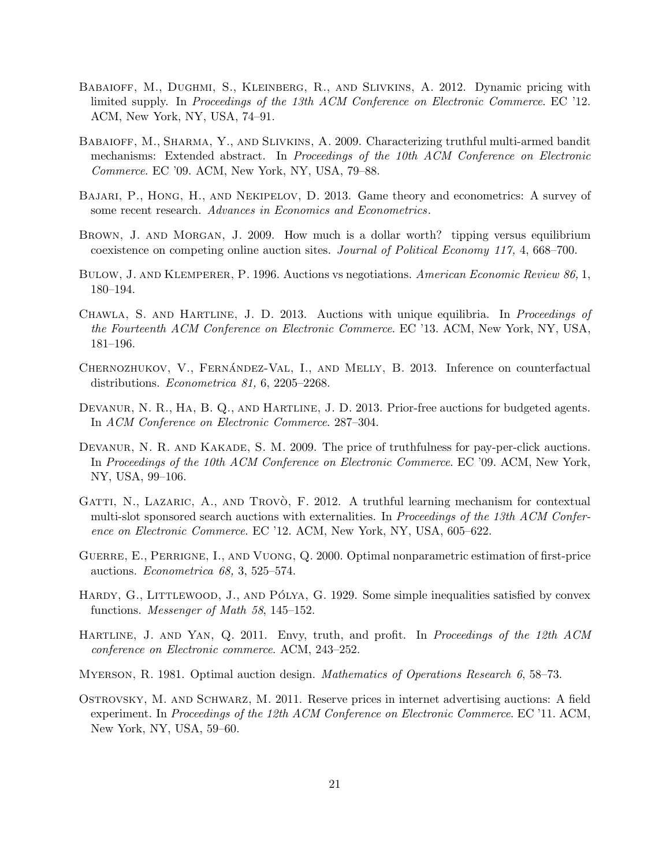- <span id="page-20-6"></span>Babaioff, M., Dughmi, S., Kleinberg, R., and Slivkins, A. 2012. Dynamic pricing with limited supply. In *Proceedings of the 13th ACM Conference on Electronic Commerce*. EC '12. ACM, New York, NY, USA, 74–91.
- <span id="page-20-8"></span>Babaioff, M., Sharma, Y., and Slivkins, A. 2009. Characterizing truthful multi-armed bandit mechanisms: Extended abstract. In *Proceedings of the 10th ACM Conference on Electronic Commerce*. EC '09. ACM, New York, NY, USA, 79–88.
- <span id="page-20-4"></span>Bajari, P., Hong, H., and Nekipelov, D. 2013. Game theory and econometrics: A survey of some recent research. *Advances in Economics and Econometrics*.
- <span id="page-20-10"></span>Brown, J. and Morgan, J. 2009. How much is a dollar worth? tipping versus equilibrium coexistence on competing online auction sites. *Journal of Political Economy 117,* 4, 668–700.
- <span id="page-20-14"></span>Bulow, J. and Klemperer, P. 1996. Auctions vs negotiations. *American Economic Review 86,* 1, 180–194.
- <span id="page-20-2"></span>Chawla, S. and Hartline, J. D. 2013. Auctions with unique equilibria. In *Proceedings of the Fourteenth ACM Conference on Electronic Commerce*. EC '13. ACM, New York, NY, USA, 181–196.
- <span id="page-20-5"></span>CHERNOZHUKOV, V., FERNÁNDEZ-VAL, I., AND MELLY, B. 2013. Inference on counterfactual distributions. *Econometrica 81,* 6, 2205–2268.
- <span id="page-20-12"></span>DEVANUR, N. R., HA, B. Q., AND HARTLINE, J. D. 2013. Prior-free auctions for budgeted agents. In *ACM Conference on Electronic Commerce*. 287–304.
- <span id="page-20-7"></span>DEVANUR, N. R. AND KAKADE, S. M. 2009. The price of truthfulness for pay-per-click auctions. In *Proceedings of the 10th ACM Conference on Electronic Commerce*. EC '09. ACM, New York, NY, USA, 99–106.
- <span id="page-20-9"></span>GATTI, N., LAZARIC, A., AND TROVO, F. 2012. A truthful learning mechanism for contextual multi-slot sponsored search auctions with externalities. In *Proceedings of the 13th ACM Conference on Electronic Commerce*. EC '12. ACM, New York, NY, USA, 605–622.
- <span id="page-20-3"></span>GUERRE, E., PERRIGNE, I., AND VUONG, Q. 2000. Optimal nonparametric estimation of first-price auctions. *Econometrica 68,* 3, 525–574.
- <span id="page-20-13"></span>HARDY, G., LITTLEWOOD, J., AND PÓLYA, G. 1929. Some simple inequalities satisfied by convex functions. *Messenger of Math 58*, 145–152.
- <span id="page-20-1"></span>Hartline, J. and Yan, Q. 2011. Envy, truth, and profit. In *Proceedings of the 12th ACM conference on Electronic commerce*. ACM, 243–252.
- <span id="page-20-0"></span>Myerson, R. 1981. Optimal auction design. *Mathematics of Operations Research 6*, 58–73.
- <span id="page-20-11"></span>Ostrovsky, M. and Schwarz, M. 2011. Reserve prices in internet advertising auctions: A field experiment. In *Proceedings of the 12th ACM Conference on Electronic Commerce*. EC '11. ACM, New York, NY, USA, 59–60.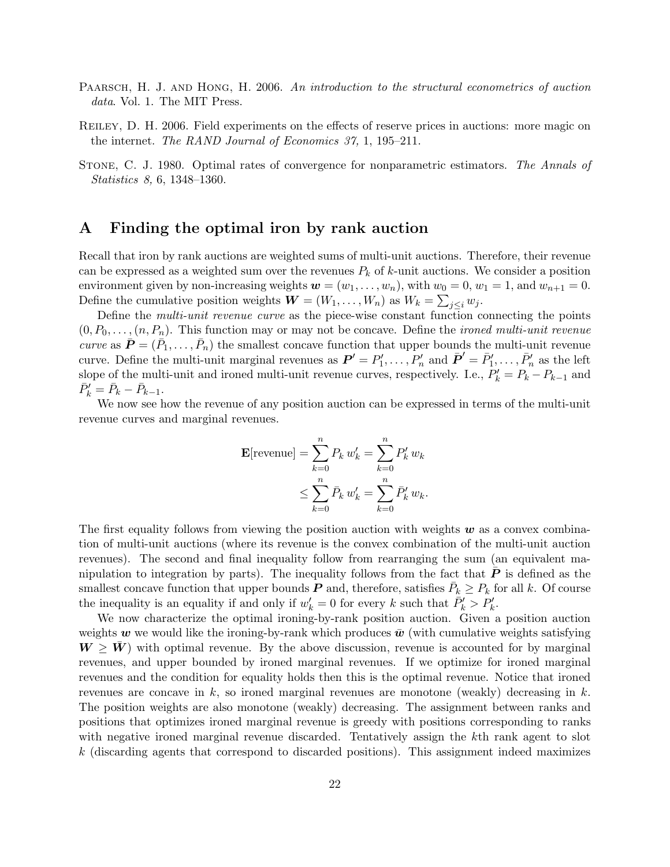- <span id="page-21-0"></span>Paarsch, H. J. and Hong, H. 2006. *An introduction to the structural econometrics of auction data*. Vol. 1. The MIT Press.
- <span id="page-21-1"></span>Reiley, D. H. 2006. Field experiments on the effects of reserve prices in auctions: more magic on the internet. *The RAND Journal of Economics 37,* 1, 195–211.
- <span id="page-21-3"></span>Stone, C. J. 1980. Optimal rates of convergence for nonparametric estimators. *The Annals of Statistics 8,* 6, 1348–1360.

## <span id="page-21-2"></span>A Finding the optimal iron by rank auction

Recall that iron by rank auctions are weighted sums of multi-unit auctions. Therefore, their revenue can be expressed as a weighted sum over the revenues  $P_k$  of k-unit auctions. We consider a position environment given by non-increasing weights  $w = (w_1, \ldots, w_n)$ , with  $w_0 = 0$ ,  $w_1 = 1$ , and  $w_{n+1} = 0$ . Define the cumulative position weights  $\mathbf{W} = (W_1, \dots, W_n)$  as  $W_k = \sum_{j \leq i} w_j$ .

Define the *multi-unit revenue curve* as the piece-wise constant function connecting the points  $(0, P_0, \ldots, (n, P_n)$ . This function may or may not be concave. Define the *ironed multi-unit revenue curve* as  $\bar{\bm{P}} = (\bar{P}_1, \ldots, \bar{P}_n)$  the smallest concave function that upper bounds the multi-unit revenue curve. Define the multi-unit marginal revenues as  $\mathbf{P}' = P'_1, \ldots, P'_n$  and  $\bar{\mathbf{P}}' = \bar{P}'_1, \ldots, \bar{P}'_n$  as the left slope of the multi-unit and ironed multi-unit revenue curves, respectively. I.e.,  $P'_k = P_k - P_{k-1}$  and  $\bar{P}_k' = \bar{P}_k - \bar{P}_{k-1}.$ 

We now see how the revenue of any position auction can be expressed in terms of the multi-unit revenue curves and marginal revenues.

$$
\mathbf{E}[\text{revenue}] = \sum_{k=0}^{n} P_k w'_k = \sum_{k=0}^{n} P'_k w_k
$$
  

$$
\leq \sum_{k=0}^{n} \bar{P}_k w'_k = \sum_{k=0}^{n} \bar{P}'_k w_k.
$$

The first equality follows from viewing the position auction with weights  $w$  as a convex combination of multi-unit auctions (where its revenue is the convex combination of the multi-unit auction revenues). The second and final inequality follow from rearranging the sum (an equivalent manipulation to integration by parts). The inequality follows from the fact that  $\bm{P}$  is defined as the smallest concave function that upper bounds  $P$  and, therefore, satisfies  $\bar{P}_k \ge P_k$  for all k. Of course the inequality is an equality if and only if  $w'_{k} = 0$  for every k such that  $\bar{P}'_{k} > P'_{k}$ .

We now characterize the optimal ironing-by-rank position auction. Given a position auction weights w we would like the ironing-by-rank which produces  $\bar{w}$  (with cumulative weights satisfying  $W \geq W$  with optimal revenue. By the above discussion, revenue is accounted for by marginal revenues, and upper bounded by ironed marginal revenues. If we optimize for ironed marginal revenues and the condition for equality holds then this is the optimal revenue. Notice that ironed revenues are concave in  $k$ , so ironed marginal revenues are monotone (weakly) decreasing in  $k$ . The position weights are also monotone (weakly) decreasing. The assignment between ranks and positions that optimizes ironed marginal revenue is greedy with positions corresponding to ranks with negative ironed marginal revenue discarded. Tentatively assign the kth rank agent to slot k (discarding agents that correspond to discarded positions). This assignment indeed maximizes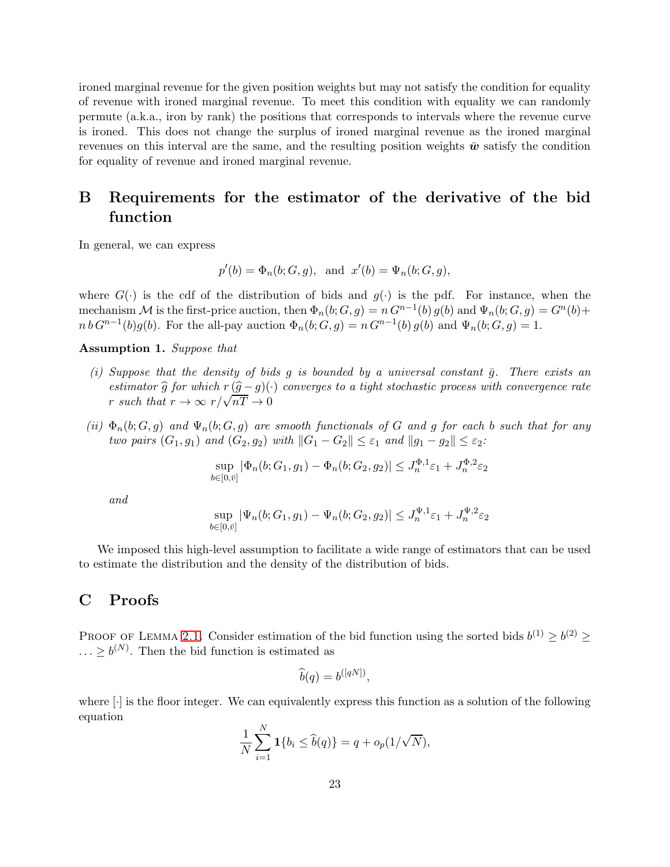ironed marginal revenue for the given position weights but may not satisfy the condition for equality of revenue with ironed marginal revenue. To meet this condition with equality we can randomly permute (a.k.a., iron by rank) the positions that corresponds to intervals where the revenue curve is ironed. This does not change the surplus of ironed marginal revenue as the ironed marginal revenues on this interval are the same, and the resulting position weights  $\bar{w}$  satisfy the condition for equality of revenue and ironed marginal revenue.

# <span id="page-22-0"></span>B Requirements for the estimator of the derivative of the bid function

In general, we can express

$$
p'(b) = \Phi_n(b; G, g)
$$
, and  $x'(b) = \Psi_n(b; G, g)$ ,

where  $G(\cdot)$  is the cdf of the distribution of bids and  $g(\cdot)$  is the pdf. For instance, when the mechanism M is the first-price auction, then  $\Phi_n(b; G, g) = n G^{n-1}(b) g(b)$  and  $\Psi_n(b; G, g) = G^n(b) +$  $n b G^{n-1}(b) g(b)$ . For the all-pay auction  $\Phi_n(b; G, g) = n G^{n-1}(b) g(b)$  and  $\Psi_n(b; G, g) = 1$ .

#### Assumption 1. *Suppose that*

- *(i) Suppose that the density of bids g is bounded by a universal constant*  $\bar{g}$ *. There exists an estimator*  $\hat{g}$  *for which*  $r(\hat{g}-g)(\cdot)$  *converges to a tight stochastic process with convergence rate* r such that  $r \to \infty$   $r/\sqrt{nT} \to 0$
- *(ii)*  $\Phi_n(b; G, g)$  *and*  $\Psi_n(b; G, g)$  *are smooth functionals of* G *and* g *for each* b *such that for any two pairs*  $(G_1, g_1)$  *and*  $(G_2, g_2)$  *with*  $||G_1 - G_2|| \leq \varepsilon_1$  *and*  $||g_1 - g_2|| \leq \varepsilon_2$ *:*

$$
\sup_{b\in[0,\bar{v}]}|\Phi_n(b;G_1,g_1)-\Phi_n(b;G_2,g_2)|\leq J_n^{\Phi,1}\varepsilon_1+J_n^{\Phi,2}\varepsilon_2
$$

*and*

$$
\sup_{b \in [0,\bar{v}]} |\Psi_n(b;G_1,g_1) - \Psi_n(b;G_2,g_2)| \le J_n^{\Psi,1} \varepsilon_1 + J_n^{\Psi,2} \varepsilon_2
$$

We imposed this high-level assumption to facilitate a wide range of estimators that can be used to estimate the distribution and the density of the distribution of bids.

## C Proofs

PROOF OF LEMMA [2.1.](#page-8-2) Consider estimation of the bid function using the sorted bids  $b^{(1)} \ge b^{(2)} \ge$  $\ldots \geq b^{(N)}$ . Then the bid function is estimated as

$$
\widehat{b}(q) = b^{([qN])},
$$

where [·] is the floor integer. We can equivalently express this function as a solution of the following equation

$$
\frac{1}{N}\sum_{i=1}^N \mathbf{1}\{b_i \leq \widehat{b}(q)\} = q + o_p(1/\sqrt{N}),
$$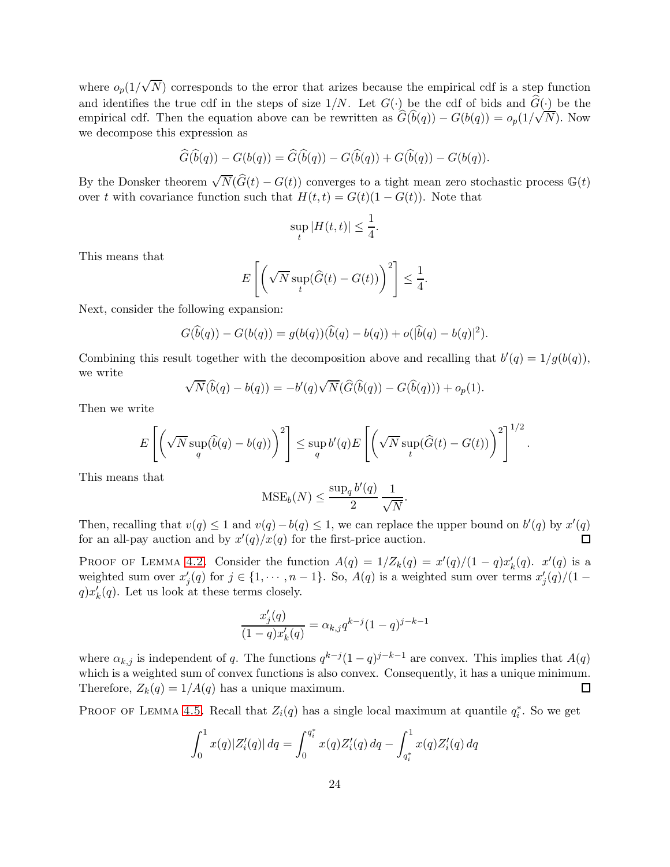where  $o_p(1/\sqrt{N})$  corresponds to the error that arizes because the empirical cdf is a step function and identifies the true cdf in the steps of size  $1/N$ . Let  $G(\cdot)$  be the cdf of bids and  $\hat{G}(\cdot)$  be the empirical cdf. Then the equation above can be rewritten as  $\hat{G}(\hat{b}(q)) - G(b(q)) = o_p(1/\sqrt{N})$ . Now we decompose this expression as

$$
\widehat{G}(\widehat{b}(q)) - G(b(q)) = \widehat{G}(\widehat{b}(q)) - G(\widehat{b}(q)) + G(\widehat{b}(q)) - G(b(q)).
$$

By the Donsker theorem  $\sqrt{N}(\widehat{G}(t) - G(t))$  converges to a tight mean zero stochastic process  $\mathbb{G}(t)$ over t with covariance function such that  $H(t,t) = G(t)(1 - G(t))$ . Note that

$$
\sup_{t} |H(t,t)| \leq \frac{1}{4}.
$$

This means that

$$
E\left[\left(\sqrt{N}\sup_{t}(\widehat{G}(t)-G(t))\right)^{2}\right] \leq \frac{1}{4}.
$$

Next, consider the following expansion:

$$
G(\widehat{b}(q)) - G(b(q)) = g(b(q))(\widehat{b}(q) - b(q)) + o(|\widehat{b}(q) - b(q)|^2).
$$

Combining this result together with the decomposition above and recalling that  $b'(q) = 1/g(b(q))$ , we write

$$
\sqrt{N}(\widehat{b}(q) - b(q)) = -b'(q)\sqrt{N}(\widehat{G}(\widehat{b}(q)) - G(\widehat{b}(q))) + o_p(1).
$$

Then we write

$$
E\left[\left(\sqrt{N}\sup_q(\widehat{b}(q)-b(q))\right)^2\right] \leq \sup_q b'(q)E\left[\left(\sqrt{N}\sup_t(\widehat{G}(t)-G(t))\right)^2\right]^{1/2}.
$$

This means that

$$
\text{MSE}_b(N) \le \frac{\sup_q b'(q)}{2} \frac{1}{\sqrt{N}}.
$$

Then, recalling that  $v(q) \leq 1$  and  $v(q) - b(q) \leq 1$ , we can replace the upper bound on  $b'(q)$  by  $x'(q)$ for an all-pay auction and by  $x'(q)/x(q)$  for the first-price auction. П

PROOF OF LEMMA [4.2.](#page-14-2) Consider the function  $A(q) = 1/Z_k(q) = x'(q)/(1-q)x'_k(q)$ .  $x'(q)$  is a weighted sum over  $x'_{j}(q)$  for  $j \in \{1, \dots, n-1\}$ . So,  $A(q)$  is a weighted sum over terms  $x'_{j}(q)/(1-q)$  $q)x'_{k}(q)$ . Let us look at these terms closely.

$$
\frac{x_j'(q)}{(1-q)x_k'(q)} = \alpha_{k,j} q^{k-j} (1-q)^{j-k-1}
$$

where  $\alpha_{k,j}$  is independent of q. The functions  $q^{k-j}(1-q)^{j-k-1}$  are convex. This implies that  $A(q)$ which is a weighted sum of convex functions is also convex. Consequently, it has a unique minimum. Therefore,  $Z_k(q) = 1/A(q)$  has a unique maximum.  $\Box$ 

PROOF OF LEMMA [4.5.](#page-15-1) Recall that  $Z_i(q)$  has a single local maximum at quantile  $q_i^*$ . So we get

$$
\int_0^1 x(q)|Z_i'(q)| dq = \int_0^{q_i^*} x(q)Z_i'(q) dq - \int_{q_i^*}^1 x(q)Z_i'(q) dq
$$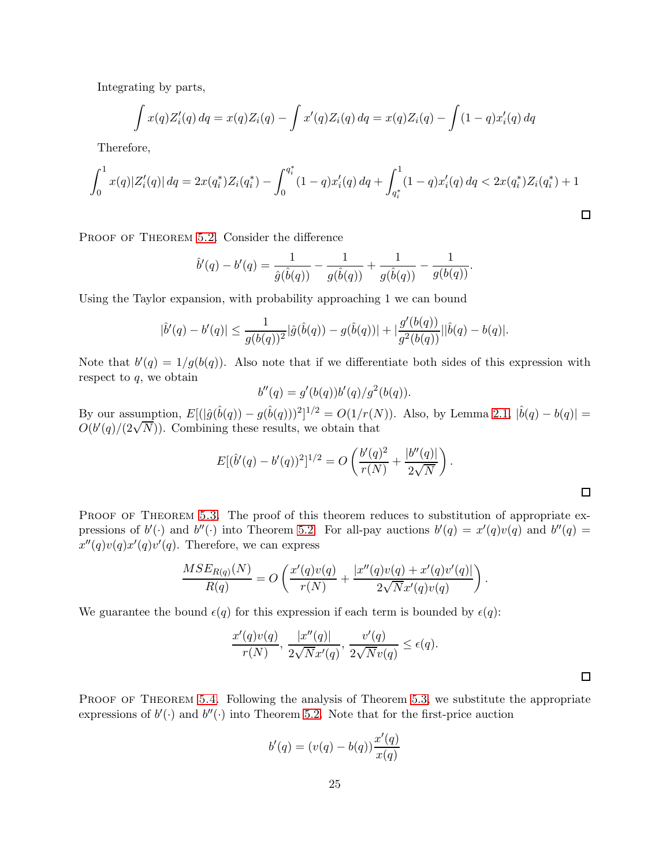Integrating by parts,

$$
\int x(q)Z_i'(q) dq = x(q)Z_i(q) - \int x'(q)Z_i(q) dq = x(q)Z_i(q) - \int (1-q)x_i'(q) dq
$$

Therefore,

$$
\int_0^1 x(q)|Z_i'(q)|\,dq = 2x(q_i^*)Z_i(q_i^*) - \int_0^{q_i^*} (1-q)x_i'(q)\,dq + \int_{q_i^*}^1 (1-q)x_i'(q)\,dq < 2x(q_i^*)Z_i(q_i^*) + 1
$$

PROOF OF THEOREM [5.2.](#page-17-0) Consider the difference

$$
\hat{b}'(q) - b'(q) = \frac{1}{\hat{g}(\hat{b}(q))} - \frac{1}{g(\hat{b}(q))} + \frac{1}{g(\hat{b}(q))} - \frac{1}{g(b(q))}.
$$

Using the Taylor expansion, with probability approaching 1 we can bound

$$
|\hat{b}'(q) - b'(q)| \le \frac{1}{g(b(q))^2} |\hat{g}(\hat{b}(q)) - g(\hat{b}(q))| + |\frac{g'(b(q))}{g^2(b(q))}||\hat{b}(q) - b(q)|.
$$

Note that  $b'(q) = 1/g(b(q))$ . Also note that if we differentiate both sides of this expression with respect to  $q$ , we obtain

$$
b''(q) = g'(b(q))b'(q)/g^{2}(b(q)).
$$

By our assumption,  $E[(|\hat{g}(\hat{b}(q)) - g(\hat{b}(q)))^2]^{1/2} = O(1/r(N))$ . Also, by Lemma [2.1,](#page-8-2)  $|\hat{b}(q) - b(q)| =$  $O(b'(q)/(2\sqrt{N}))$ . Combining these results, we obtain that

$$
E[(\hat{b}'(q) - b'(q))^2]^{1/2} = O\left(\frac{b'(q)^2}{r(N)} + \frac{|b''(q)|}{2\sqrt{N}}\right).
$$

 $\Box$ 

PROOF OF THEOREM [5.3.](#page-18-2) The proof of this theorem reduces to substitution of appropriate expressions of  $b'(\cdot)$  and  $b''(\cdot)$  into Theorem [5.2.](#page-17-0) For all-pay auctions  $b'(q) = x'(q)v(q)$  and  $b''(q) = w'(q)v(q)$  $x''(q)v(q)x'(q)v'(q)$ . Therefore, we can express

$$
\frac{MSE_{R(q)}(N)}{R(q)} = O\left(\frac{x'(q)v(q)}{r(N)} + \frac{|x''(q)v(q) + x'(q)v'(q)|}{2\sqrt{N}x'(q)v(q)}\right).
$$

We guarantee the bound  $\epsilon(q)$  for this expression if each term is bounded by  $\epsilon(q)$ :

$$
\frac{x'(q)v(q)}{r(N)}, \frac{|x''(q)|}{2\sqrt{N}x'(q)}, \frac{v'(q)}{2\sqrt{N}v(q)} \le \epsilon(q).
$$

PROOF OF THEOREM [5.4.](#page-19-2) Following the analysis of Theorem [5.3,](#page-18-2) we substitute the appropriate expressions of  $b'(\cdot)$  and  $b''(\cdot)$  into Theorem [5.2.](#page-17-0) Note that for the first-price auction

$$
b'(q) = (v(q) - b(q))\frac{x'(q)}{x(q)}
$$